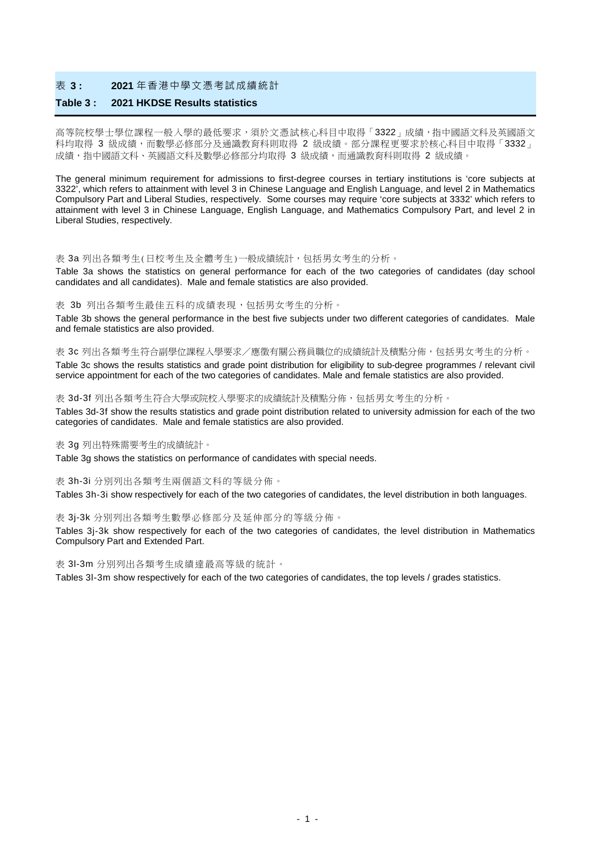#### 表 **3 : 2021** 年香港中學文憑考試成績統計

### **Table 3 : 2021 HKDSE Results statistics**

高等院校學士學位課程一般人學的最低要求,須於文憑試核心科目中取得「3322」成績,指中國語文科及英國語文 科均取得 3 級成績,而數學必修部分及通識教育科則取得 2 級成績。部分課程更要求於核心科目中取得「3332」 成績,指中國語文科、英國語文科及數學必修部分均取得 3 級成績,而通識教育科則取得 2 級成績。

The general minimum requirement for admissions to first-degree courses in tertiary institutions is 'core subjects at 3322', which refers to attainment with level 3 in Chinese Language and English Language, and level 2 in Mathematics Compulsory Part and Liberal Studies, respectively. Some courses may require 'core subjects at 3332' which refers to attainment with level 3 in Chinese Language, English Language, and Mathematics Compulsory Part, and level 2 in Liberal Studies, respectively.

#### 表 3a 列出各類考生(日校考生及全體考生)一般成績統計,包括男女考生的分析。

Table 3a shows the statistics on general performance for each of the two categories of candidates (day school candidates and all candidates). Male and female statistics are also provided.

#### 表 3b 列出各類考生最佳五科的成績表現,包括男女考生的分析。

Table 3b shows the general performance in the best five subjects under two different categories of candidates. Male and female statistics are also provided.

表 3c 列出各類考生符合副學位課程入學要求/應徵有關公務員職位的成績統計及積點分佈,包括男女考生的分析。 Table 3c shows the results statistics and grade point distribution for eligibility to sub-degree programmes / relevant civil service appointment for each of the two categories of candidates. Male and female statistics are also provided.

#### 表 3d-3f 列出各類考生符合大學或院校入學要求的成績統計及積點分佈,包括男女考生的分析。

Tables 3d-3f show the results statistics and grade point distribution related to university admission for each of the two categories of candidates. Male and female statistics are also provided.

#### 表 3g 列出特殊需要考生的成績統計。

Table 3g shows the statistics on performance of candidates with special needs.

#### 表 3h-3i 分別列出各類考生兩個語文科的等級分佈。

Tables 3h-3i show respectively for each of the two categories of candidates, the level distribution in both languages.

#### 表 3j-3k 分別列出各類考生數學必修部分及延伸部分的等級分佈。

Tables 3j-3k show respectively for each of the two categories of candidates, the level distribution in Mathematics Compulsory Part and Extended Part.

表 3l-3m 分別列出各類考生成績達最高等級的統計。

Tables 3l-3m show respectively for each of the two categories of candidates, the top levels / grades statistics.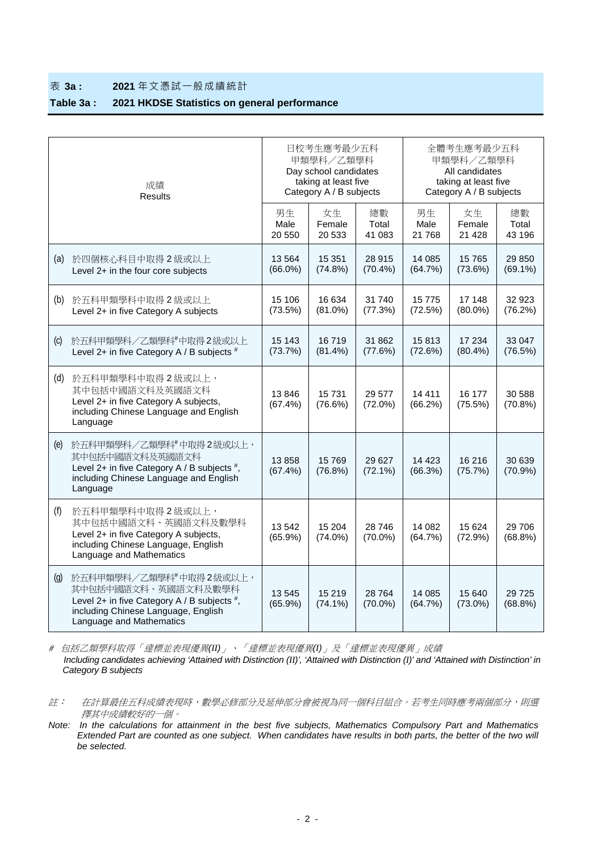#### 表 **3a : 2021** 年文憑試一般成績統計

# **Table 3a : 2021 HKDSE Statistics on general performance**

|                    | 成績<br><b>Results</b>                                                                                                                                            |                      | 日校考生應考最少五科<br>甲類學科/乙類學科<br>Day school candidates<br>taking at least five<br>Category A / B subjects |                       | 全體考生應考最少五科<br>甲類學科/乙類學科<br>All candidates<br>taking at least five<br>Category A / B subjects |                         |                       |  |
|--------------------|-----------------------------------------------------------------------------------------------------------------------------------------------------------------|----------------------|-----------------------------------------------------------------------------------------------------|-----------------------|----------------------------------------------------------------------------------------------|-------------------------|-----------------------|--|
|                    |                                                                                                                                                                 | 男生<br>Male<br>20 550 | 女生<br>Female<br>20 533                                                                              | 總數<br>Total<br>41 083 | 男生<br>Male<br>21 768                                                                         | 女生<br>Female<br>21 4 28 | 總數<br>Total<br>43 196 |  |
| (a)                | 於四個核心科目中取得2級或以上<br>Level 2+ in the four core subjects                                                                                                           | 13564<br>$(66.0\%)$  | 15 351<br>(74.8%)                                                                                   | 28 915<br>$(70.4\%)$  | 14 085<br>(64.7%)                                                                            | 15 765<br>(73.6%)       | 29 850<br>$(69.1\%)$  |  |
| (b)                | 於五科甲類學科中取得2級或以上<br>Level 2+ in five Category A subjects                                                                                                         | 15 106<br>(73.5%)    | 16 634<br>$(81.0\%)$                                                                                | 31740<br>(77.3%)      | 15 775<br>(72.5%)                                                                            | 17 148<br>$(80.0\%)$    | 32 923<br>(76.2%)     |  |
| $\left( 0 \right)$ | 於五科甲類學科/乙類學科#中取得2級或以上<br>Level 2+ in five Category A / B subjects #                                                                                             | 15 143<br>(73.7%)    | 16719<br>$(81.4\%)$                                                                                 | 31 862<br>(77.6%)     | 15813<br>(72.6%)                                                                             | 17 234<br>$(80.4\%)$    | 33 047<br>(76.5%)     |  |
| (d)                | 於五科甲類學科中取得2級或以上,<br>其中包括中國語文科及英國語文科<br>Level 2+ in five Category A subjects,<br>including Chinese Language and English<br>Language                              | 13846<br>$(67.4\%)$  | 15 7 31<br>(76.6%)                                                                                  | 29 577<br>$(72.0\%)$  | 14 4 11<br>(66.2%)                                                                           | 16 177<br>(75.5%)       | 30 588<br>(70.8%)     |  |
| (e)                | 於五科甲類學科/乙類學科#中取得2級或以上,<br>其中包括中國語文科及英國語文科<br>Level 2+ in five Category A / B subjects $#$ ,<br>including Chinese Language and English<br>Language               | 13858<br>$(67.4\%)$  | 15 769<br>(76.8%)                                                                                   | 29 6 27<br>$(72.1\%)$ | 14 4 23<br>(66.3%)                                                                           | 16 216<br>(75.7%)       | 30 639<br>(70.9%)     |  |
| (f)                | 於五科甲類學科中取得2級或以上,<br>其中包括中國語文科、英國語文科及數學科<br>Level 2+ in five Category A subjects,<br>including Chinese Language, English<br>Language and Mathematics             | 13 542<br>$(65.9\%)$ | 15 204<br>$(74.0\%)$                                                                                | 28 746<br>$(70.0\%)$  | 14 082<br>(64.7%)                                                                            | 15 624<br>(72.9%)       | 29 706<br>$(68.8\%)$  |  |
| $\left( q\right)$  | 於五科甲類學科/乙類學科#中取得2級或以上,<br>其中包括中國語文科、英國語文科及數學科<br>Level 2+ in five Category A / B subjects #,<br>including Chinese Language, English<br>Language and Mathematics | 13545<br>$(65.9\%)$  | 15 219<br>$(74.1\%)$                                                                                | 28764<br>$(70.0\%)$   | 14 085<br>(64.7%)                                                                            | 15 640<br>$(73.0\%)$    | 29 7 25<br>$(68.8\%)$ |  |

#包括乙類學科取得「達標並表現優異*(II)*」、「達標並表現優異*(I)*」及「達標並表現優異」成績  *Including candidates achieving 'Attained with Distinction (II)', 'Attained with Distinction (I)' and 'Attained with Distinction' in Category B subjects*

*Note: In the calculations for attainment in the best five subjects, Mathematics Compulsory Part and Mathematics Extended Part are counted as one subject. When candidates have results in both parts, the better of the two will be selected.*

註: 在計算最佳五科成績表現時,數學必修部分及延伸部分會被視為同一個科目組合。若考生同時應考兩個部分,則選 擇其中成績較好的一個。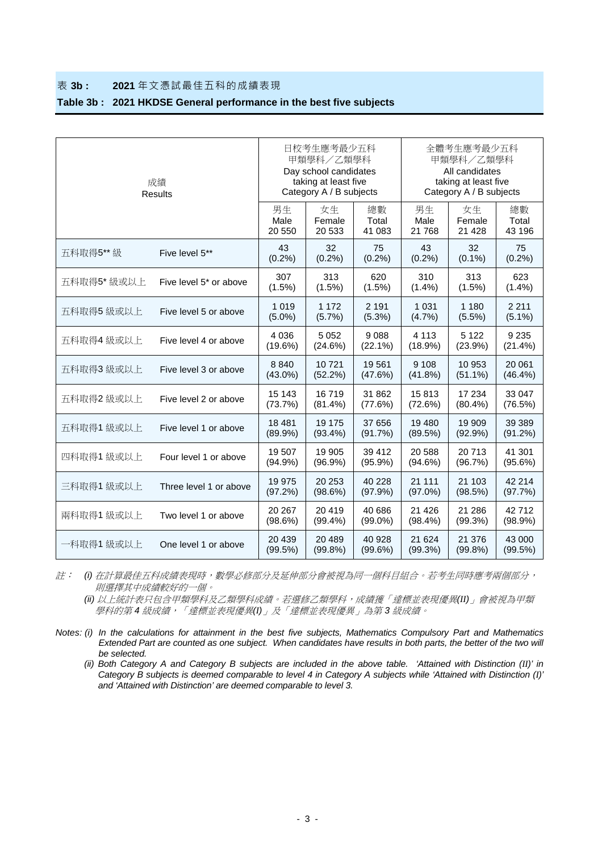## 表 **3b : 2021** 年文憑試最佳五科的成績表現

### **Table 3b : 2021 HKDSE General performance in the best five subjects**

| 成績<br>Results |                                    | 日校考生應考最少五科<br>甲類學科/乙類學科<br>Day school candidates<br>taking at least five<br>Category A / B subjects |                        | 全體考生應考最少五科<br>甲類學科/乙類學科<br>All candidates<br>taking at least five<br>Category A / B subjects |                       |                         |                       |
|---------------|------------------------------------|-----------------------------------------------------------------------------------------------------|------------------------|----------------------------------------------------------------------------------------------|-----------------------|-------------------------|-----------------------|
|               |                                    | 男生<br>Male<br>20 550                                                                                | 女生<br>Female<br>20 533 | 總數<br>Total<br>41 083                                                                        | 男生<br>Male<br>21 768  | 女生<br>Female<br>21 4 28 | 總數<br>Total<br>43 196 |
| 五科取得5** 級     | Five level 5**                     | 43<br>$(0.2\%)$                                                                                     | 32<br>$(0.2\%)$        | 75<br>$(0.2\%)$                                                                              | 43<br>$(0.2\%)$       | 32<br>$(0.1\%)$         | 75<br>$(0.2\%)$       |
| 五科取得5* 级或以上   | Five level 5 <sup>*</sup> or above | 307<br>(1.5%)                                                                                       | 313<br>(1.5%)          | 620<br>(1.5%)                                                                                | 310<br>(1.4%)         | 313<br>(1.5%)           | 623<br>$(1.4\%)$      |
| 五科取得5 級或以上    | Five level 5 or above              | 1 0 1 9<br>$(5.0\%)$                                                                                | 1 1 7 2<br>(5.7%)      | 2 1 9 1<br>$(5.3\%)$                                                                         | 1 0 3 1<br>(4.7%)     | 1 1 8 0<br>$(5.5\%)$    | 2 2 1 1<br>$(5.1\%)$  |
| 五科取得4 級或以上    | Five level 4 or above              | 4 0 3 6<br>$(19.6\%)$                                                                               | 5 0 5 2<br>(24.6%)     | 9088<br>$(22.1\%)$                                                                           | 4 1 1 3<br>$(18.9\%)$ | 5 1 2 2<br>(23.9%)      | 9 2 3 5<br>(21.4%)    |
| 五科取得3 級或以上    | Five level 3 or above              | 8 8 4 0<br>$(43.0\%)$                                                                               | 10721<br>(52.2%)       | 19561<br>(47.6%)                                                                             | 9 1 0 8<br>(41.8%)    | 10 953<br>$(51.1\%)$    | 20 061<br>(46.4%)     |
| 五科取得2 級或以上    | Five level 2 or above              | 15 143<br>(73.7%)                                                                                   | 16719<br>(81.4%)       | 31 862<br>(77.6%)                                                                            | 15813<br>(72.6%)      | 17 234<br>$(80.4\%)$    | 33 047<br>(76.5%)     |
| 五科取得1 級或以上    | Five level 1 or above              | 18 4 8 1<br>$(89.9\%)$                                                                              | 19 175<br>$(93.4\%)$   | 37 656<br>(91.7%)                                                                            | 19 480<br>(89.5%)     | 19 909<br>(92.9%)       | 39 389<br>(91.2%)     |
| 四科取得1級或以上     | Four level 1 or above              | 19507<br>$(94.9\%)$                                                                                 | 19 905<br>$(96.9\%)$   | 39 412<br>$(95.9\%)$                                                                         | 20 588<br>(94.6%)     | 20713<br>(96.7%)        | 41 301<br>(95.6%)     |
| 三科取得1 級或以上    | Three level 1 or above             | 19 975<br>(97.2%)                                                                                   | 20 25 3<br>(98.6%)     | 40 228<br>(97.9%)                                                                            | 21 111<br>$(97.0\%)$  | 21 103<br>(98.5%)       | 42 214<br>(97.7%)     |
| 兩科取得1級或以上     | Two level 1 or above               | 20 267<br>(98.6%)                                                                                   | 20419<br>$(99.4\%)$    | 40 686<br>$(99.0\%)$                                                                         | 21 4 26<br>$(98.4\%)$ | 21 286<br>(99.3%)       | 42712<br>(98.9%)      |
| 一科取得1 級或以上    | One level 1 or above               | 20 439<br>(99.5%)                                                                                   | 20 4 8 9<br>$(99.8\%)$ | 40 928<br>(99.6%)                                                                            | 21 624<br>(99.3%)     | 21 376<br>$(99.8\%)$    | 43 000<br>(99.5%)     |

註: *(i)* 在計算最佳五科成績表現時,數學必修部分及延伸部分會被視為同一個科目組合。若考生同時應考兩個部分, 則選擇其中成績較好的一個。

*(ii)* 以上統計表只包含甲類學科及乙類學科成績。若選修乙類學科,成績獲「達標並表現優異*(II)*」會被視為甲類 學科的第 *4* 級成績,「達標並表現優異*(I)*」及「達標並表現優異」為第 *3* 級成績。

*Notes: (i) In the calculations for attainment in the best five subjects, Mathematics Compulsory Part and Mathematics Extended Part are counted as one subject. When candidates have results in both parts, the better of the two will be selected.*

*(ii) Both Category A and Category B subjects are included in the above table. 'Attained with Distinction (II)' in Category B subjects is deemed comparable to level 4 in Category A subjects while 'Attained with Distinction (I)' and 'Attained with Distinction' are deemed comparable to level 3.*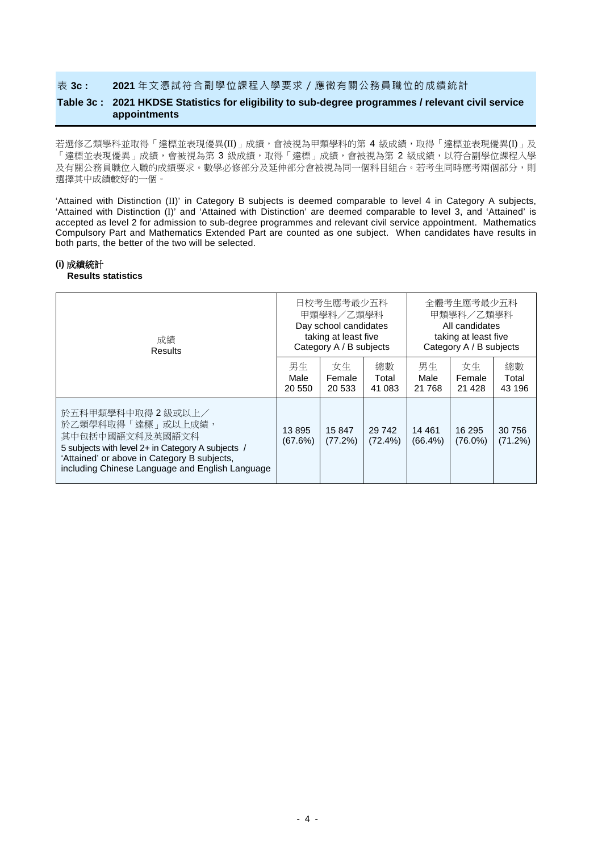### 表 **3c : 2021** 年文憑試符合副學位課程入學要求/應徵有關公務員職位的成績統計

## **Table 3c : 2021 HKDSE Statistics for eligibility to sub-degree programmes / relevant civil service appointments**

若選修乙類學科並取得「達標並表現優異(II)」成績,會被視為甲類學科的第 4 級成績,取得「達標並表現優異(I)」及 「達標並表現優異」成績,會被視為第 3 級成績,取得「達標」成績,會被視為第 2 級成績,以符合副學位課程入學 及有關公務員職位入職的成績要求。數學必修部分及延伸部分會被視為同一個科目組合。若考生同時應考兩個部分,則 選擇其中成績較好的一個。

'Attained with Distinction (II)' in Category B subjects is deemed comparable to level 4 in Category A subjects, 'Attained with Distinction (I)' and 'Attained with Distinction' are deemed comparable to level 3, and 'Attained' is accepted as level 2 for admission to sub-degree programmes and relevant civil service appointment. Mathematics Compulsory Part and Mathematics Extended Part are counted as one subject. When candidates have results in both parts, the better of the two will be selected.

#### **(i)** 成績統計

#### **Results statistics**

| 成績<br>Results                                                                                                                                                                                                     |                      | 日校考生應考最少五科<br>甲類學科/乙類學科<br>Day school candidates<br>taking at least five<br>Category A / B subjects |                       | 全體考生應考最少五科<br>甲類學科/乙類學科<br>All candidates<br>taking at least five<br>Category A / B subjects |                         |                       |
|-------------------------------------------------------------------------------------------------------------------------------------------------------------------------------------------------------------------|----------------------|-----------------------------------------------------------------------------------------------------|-----------------------|----------------------------------------------------------------------------------------------|-------------------------|-----------------------|
|                                                                                                                                                                                                                   | 男生<br>Male<br>20 550 | 女生<br>Female<br>20 533                                                                              | 總數<br>Total<br>41 083 | 男生<br>Male<br>21 768                                                                         | 女生<br>Female<br>21 4 28 | 總數<br>Total<br>43 196 |
| 於五科甲類學科中取得 2 級或以上/<br>於乙類學科取得「達標」或以上成績,<br>其中包括中國語文科及英國語文科<br>5 subjects with level 2+ in Category A subjects /<br>'Attained' or above in Category B subjects,<br>including Chinese Language and English Language | 13895<br>(67.6%)     | 15 847<br>(77.2%)                                                                                   | 29 742<br>$(72.4\%)$  | 14 4 61<br>$(66.4\%)$                                                                        | 16 295<br>$(76.0\%)$    | 30 756<br>(71.2%)     |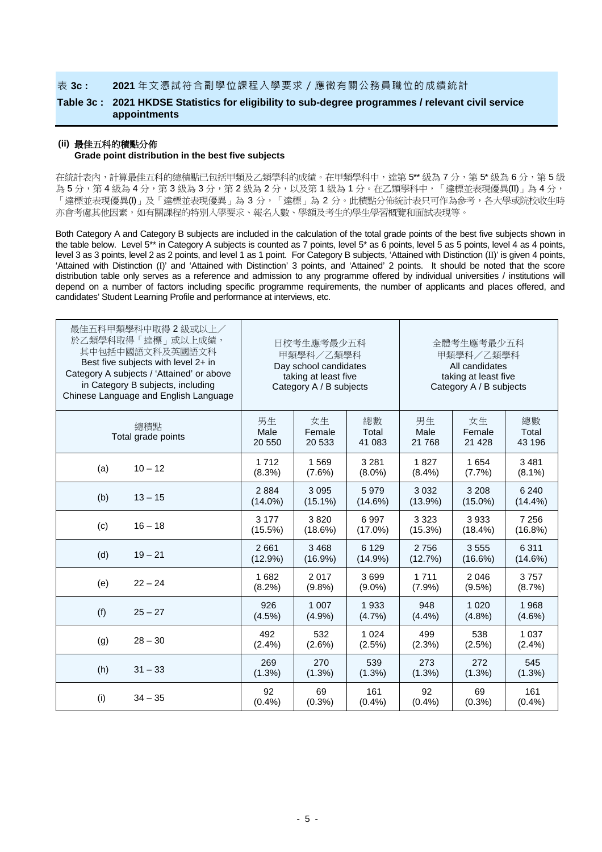### 表 **3c : 2021** 年文憑試符合副學位課程入學要求/應徵有關公務員職位的成績統計

## **Table 3c : 2021 HKDSE Statistics for eligibility to sub-degree programmes / relevant civil service appointments**

#### **(ii)** 最佳五科的積點分佈

#### **Grade point distribution in the best five subjects**

在統計表內,計算最佳五科的總積點已包括甲類及乙類學科的成績。在甲類學科中,達第 5\*\* 級為 7 分,第 5\* 級為 6 分,第 5 級 為5分,第4級為4分,第3級為3分,第2級為2分,以及第1級為1分。在乙類學科中,「達標並表現優異(II)」為4分, 「達標並表現優異(I)」及「達標並表現優異」為 3 分,「達標」為 2 分。此積點分佈統計表只可作為參考,各大學或院校收生時 亦會考慮其他因素,如有關課程的特別入學要求、報名人數、學額及考生的學生學習概覽和面試表現等。

Both Category A and Category B subjects are included in the calculation of the total grade points of the best five subjects shown in the table below. Level 5\*\* in Category A subjects is counted as 7 points, level 5\* as 6 points, level 5 as 5 points, level 4 as 4 points, level 3 as 3 points, level 2 as 2 points, and level 1 as 1 point. For Category B subjects, 'Attained with Distinction (II)' is given 4 points, 'Attained with Distinction (I)' and 'Attained with Distinction' 3 points, and 'Attained' 2 points. It should be noted that the score distribution table only serves as a reference and admission to any programme offered by individual universities / institutions will depend on a number of factors including specific programme requirements, the number of applicants and places offered, and candidates' Student Learning Profile and performance at interviews, etc.

| 最佳五科甲類學科中取得 2 級或以上/<br>於乙類學科取得「達標」或以上成績,<br>其中包括中國語文科及英國語文科<br>Best five subjects with level 2+ in<br>Category A subjects / 'Attained' or above<br>in Category B subjects, including<br>Chinese Language and English Language |                      | 日校考生應考最少五科<br>甲類學科/乙類學科<br>Day school candidates<br>taking at least five<br>Category A / B subjects |                       | 全體考生應考最少五科<br>甲類學科/乙類學科<br>All candidates<br>taking at least five<br>Category A / B subjects |                         |                       |  |
|-------------------------------------------------------------------------------------------------------------------------------------------------------------------------------------------------------------------------------|----------------------|-----------------------------------------------------------------------------------------------------|-----------------------|----------------------------------------------------------------------------------------------|-------------------------|-----------------------|--|
| 總積點<br>Total grade points                                                                                                                                                                                                     | 男生<br>Male<br>20 550 | 女生<br>Female<br>20 533                                                                              | 總數<br>Total<br>41 083 | 男生<br>Male<br>21 768                                                                         | 女生<br>Female<br>21 4 28 | 總數<br>Total<br>43 196 |  |
| (a)                                                                                                                                                                                                                           | 1712                 | 1569                                                                                                | 3 2 8 1               | 1827                                                                                         | 1654                    | 3 4 8 1               |  |
| $10 - 12$                                                                                                                                                                                                                     | (8.3%)               | (7.6%)                                                                                              | $(8.0\%)$             | $(8.4\%)$                                                                                    | (7.7%)                  | $(8.1\%)$             |  |
| (b)                                                                                                                                                                                                                           | 2884                 | 3095                                                                                                | 5979                  | 3 0 3 2                                                                                      | 3 2 0 8                 | 6 2 4 0               |  |
| $13 - 15$                                                                                                                                                                                                                     | $(14.0\%)$           | $(15.1\%)$                                                                                          | $(14.6\%)$            | (13.9%)                                                                                      | $(15.0\%)$              | $(14.4\%)$            |  |
| (c)                                                                                                                                                                                                                           | 3 1 7 7              | 3820                                                                                                | 6997                  | 3 3 2 3                                                                                      | 3933                    | 7 2 5 6               |  |
| $16 - 18$                                                                                                                                                                                                                     | $(15.5\%)$           | (18.6%)                                                                                             | $(17.0\%)$            | (15.3%)                                                                                      | $(18.4\%)$              | (16.8%)               |  |
| (d)                                                                                                                                                                                                                           | 2661                 | 3468                                                                                                | 6 1 2 9               | 2756                                                                                         | 3555                    | 6 3 1 1               |  |
| $19 - 21$                                                                                                                                                                                                                     | (12.9%)              | $(16.9\%)$                                                                                          | (14.9%)               | (12.7%)                                                                                      | (16.6%)                 | (14.6%)               |  |
| (e)                                                                                                                                                                                                                           | 1682                 | 2017                                                                                                | 3699                  | 1 7 1 1                                                                                      | 2046                    | 3757                  |  |
| $22 - 24$                                                                                                                                                                                                                     | $(8.2\%)$            | (9.8%                                                                                               | $(9.0\%)$             | (7.9%                                                                                        | $(9.5\%)$               | (8.7%)                |  |
| (f)                                                                                                                                                                                                                           | 926                  | 1 0 0 7                                                                                             | 1933                  | 948                                                                                          | 1 0 2 0                 | 1968                  |  |
| $25 - 27$                                                                                                                                                                                                                     | $(4.5\%)$            | (4.9%                                                                                               | $(4.7\%)$             | (4.4%)                                                                                       | $(4.8\%)$               | $(4.6\%)$             |  |
| (g)                                                                                                                                                                                                                           | 492                  | 532                                                                                                 | 1 0 2 4               | 499                                                                                          | 538                     | 1 0 3 7               |  |
| $28 - 30$                                                                                                                                                                                                                     | $(2.4\%)$            | $(2.6\%)$                                                                                           | (2.5%)                | (2.3%)                                                                                       | $(2.5\%)$               | (2.4%)                |  |
| (h)                                                                                                                                                                                                                           | 269                  | 270                                                                                                 | 539                   | 273                                                                                          | 272                     | 545                   |  |
| $31 - 33$                                                                                                                                                                                                                     | (1.3%)               | $(1.3\%)$                                                                                           | (1.3%)                | $(1.3\%)$                                                                                    | $(1.3\%)$               | (1.3%)                |  |
| (i)                                                                                                                                                                                                                           | 92                   | 69                                                                                                  | 161                   | 92                                                                                           | 69                      | 161                   |  |
| $34 - 35$                                                                                                                                                                                                                     | (0.4% )              | (0.3% )                                                                                             | (0.4% )               | $(0.4\%)$                                                                                    | (0.3% )                 | $(0.4\%)$             |  |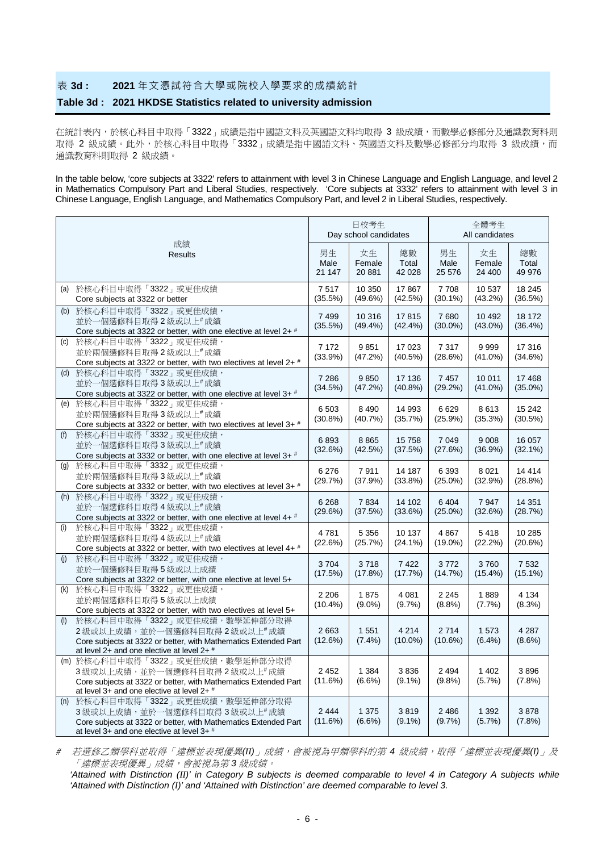# 表 **3d : 2021** 年文憑試符合大學或院校入學要求的成績統計

### **Table 3d : 2021 HKDSE Statistics related to university admission**

在統計表內,於核心科目中取得「3322」成績是指中國語文科及英國語文科均取得 3 級成績,而數學必修部分及通識教育科則 取得 2 級成績。此外,於核心科目中取得「3332」成績是指中國語文科、英國語文科及數學必修部分均取得 3 級成績,而 通識教育科則取得 2 級成績。

In the table below, 'core subjects at 3322' refers to attainment with level 3 in Chinese Language and English Language, and level 2 in Mathematics Compulsory Part and Liberal Studies, respectively. 'Core subjects at 3332' refers to attainment with level 3 in Chinese Language, English Language, and Mathematics Compulsory Part, and level 2 in Liberal Studies, respectively.

|                                                                                                                                                                                      |                       | 日校考生<br>Day school candidates |                        | 全體考生<br>All candidates |                        |                       |  |
|--------------------------------------------------------------------------------------------------------------------------------------------------------------------------------------|-----------------------|-------------------------------|------------------------|------------------------|------------------------|-----------------------|--|
| 成績<br><b>Results</b>                                                                                                                                                                 | 男生<br>Male<br>21 147  | 女生<br>Female<br>20 881        | 總數<br>Total<br>42 0 28 | 男生<br>Male<br>25 576   | 女生<br>Female<br>24 400 | 總數<br>Total<br>49 976 |  |
| (a) 於核心科目中取得「3322」或更佳成績<br>Core subjects at 3322 or better                                                                                                                           | 7517<br>(35.5%)       | 10 350<br>(49.6%)             | 17867<br>(42.5%)       | 7708<br>$(30.1\%)$     | 10 537<br>$(43.2\%)$   | 18 245<br>(36.5%)     |  |
| 於核心科目中取得「3322」或更佳成績,<br>(b)<br>並於一個選修科目取得2級或以上#成績<br>Core subjects at 3322 or better, with one elective at level 2+#                                                                 | 7 4 9 9<br>$(35.5\%)$ | 10 316<br>$(49.4\%)$          | 17815<br>$(42.4\%)$    | 7680<br>$(30.0\%)$     | 10 492<br>$(43.0\%)$   | 18 172<br>(36.4%)     |  |
| 於核心科目中取得「3322」或更佳成績,<br>(C)<br>並於兩個選修科目取得2級或以上#成績<br>Core subjects at 3322 or better, with two electives at level 2+ #                                                               | 7 1 7 2<br>(33.9%)    | 9851<br>(47.2%)               | 17 023<br>$(40.5\%)$   | 7317<br>(28.6%)        | 9999<br>$(41.0\%)$     | 17 316<br>(34.6%)     |  |
| (d) 於核心科目中取得「3322」或更佳成績,<br>並於一個選修科目取得3級或以上#成績<br>Core subjects at 3322 or better, with one elective at level 3+ #                                                                   | 7 2 8 6<br>(34.5%)    | 9850<br>(47.2%)               | 17 136<br>$(40.8\%)$   | 7 4 5 7<br>(29.2%)     | 10 011<br>$(41.0\%)$   | 17 4 68<br>$(35.0\%)$ |  |
| 於核心科目中取得「3322」或更佳成績,<br>(e)<br>並於兩個選修科目取得3級或以上#成績<br>Core subjects at 3322 or better, with two electives at level 3+ #                                                               | 6 5 0 3<br>$(30.8\%)$ | 8 4 9 0<br>(40.7%)            | 14 993<br>(35.7%)      | 6629<br>(25.9%)        | 8613<br>(35.3%)        | 15 24 2<br>(30.5%)    |  |
| 於核心科目中取得「3332」或更佳成績,<br>(f)<br>並於一個選修科目取得3級或以上#成績<br>Core subjects at 3332 or better, with one elective at level $3+$ #                                                              | 6893<br>(32.6%)       | 8865<br>(42.5%)               | 15758<br>(37.5%)       | 7 0 4 9<br>(27.6%)     | 9 0 0 8<br>$(36.9\%)$  | 16 057<br>$(32.1\%)$  |  |
| 於核心科目中取得「3332」或更佳成績,<br>(q)<br>並於兩個選修科目取得3級或以上#成績<br>Core subjects at 3332 or better, with two electives at level $3+$ #                                                             | 6 2 7 6<br>(29.7%)    | 7911<br>(37.9%)               | 14 187<br>$(33.8\%)$   | 6 3 9 3<br>$(25.0\%)$  | 8 0 21<br>(32.9%)      | 14 4 14<br>$(28.8\%)$ |  |
| (h) 於核心科目中取得「3322」或更佳成績,<br>並於一個選修科目取得4級或以上#成績<br>Core subjects at 3322 or better, with one elective at level 4+#                                                                    | 6 2 6 8<br>(29.6%)    | 7834<br>(37.5%)               | 14 102<br>(33.6%)      | 6 4 0 4<br>$(25.0\%)$  | 7947<br>(32.6%)        | 14 3 51<br>(28.7%)    |  |
| 於核心科目中取得「3322」或更佳成績,<br>(i)<br>並於兩個選修科目取得4級或以上#成績<br>Core subjects at 3322 or better, with two electives at level 4+ #                                                               | 4781<br>(22.6%)       | 5 3 5 6<br>(25.7%)            | 10 137<br>$(24.1\%)$   | 4 8 6 7<br>$(19.0\%)$  | 5418<br>(22.2%)        | 10 285<br>(20.6%)     |  |
| 於核心科目中取得「3322」或更佳成績,<br>(i)<br>並於一個選修科目取得5級或以上成績<br>Core subjects at 3322 or better, with one elective at level 5+                                                                   | 3704<br>(17.5%)       | 3718<br>(17.8%)               | 7422<br>(17.7%)        | 3772<br>(14.7%)        | 3760<br>$(15.4\%)$     | 7 5 3 2<br>$(15.1\%)$ |  |
| 於核心科目中取得「3322」或更佳成績,<br>(k)<br>並於兩個選修科目取得5級或以上成績<br>Core subjects at 3322 or better, with two electives at level 5+                                                                  | 2 2 0 6<br>$(10.4\%)$ | 1875<br>$(9.0\%)$             | 4 0 8 1<br>$(9.7\%)$   | 2 2 4 5<br>(8.8%)      | 1889<br>$(7.7\%)$      | 4 1 3 4<br>(8.3%)     |  |
| 於核心科目中取得「3322」或更佳成績,數學延伸部分取得<br>(1)<br>2級或以上成績,並於一個選修科目取得2級或以上#成績<br>Core subjects at 3322 or better, with Mathematics Extended Part<br>at level 2+ and one elective at level $2+$ # | 2 6 6 3<br>(12.6%)    | 1 5 5 1<br>$(7.4\%)$          | 4 2 1 4<br>$(10.0\%)$  | 2 7 1 4<br>$(10.6\%)$  | 1573<br>$(6.4\%)$      | 4 2 8 7<br>$(8.6\%)$  |  |
| (m) 於核心科目中取得「3322」或更佳成績, 數學延伸部分取得<br>3級或以上成績,並於一個選修科目取得2級或以上#成績<br>Core subjects at 3322 or better, with Mathematics Extended Part<br>at level 3+ and one elective at level $2+$ #   | 2 4 5 2<br>(11.6%)    | 1 3 8 4<br>$(6.6\%)$          | 3836<br>$(9.1\%)$      | 2 4 9 4<br>(9.8%       | 1 4 0 2<br>(5.7%)      | 3896<br>(7.8%)        |  |
| 於核心科目中取得「3322」或更佳成績,數學延伸部分取得<br>(n)<br>3級或以上成績,並於一個選修科目取得3級或以上#成績<br>Core subjects at 3322 or better, with Mathematics Extended Part<br>at level 3+ and one elective at level $3+$ # | 2 4 4 4<br>$(11.6\%)$ | 1 3 7 5<br>$(6.6\%)$          | 3819<br>$(9.1\%)$      | 2 4 8 6<br>$(9.7\%)$   | 1 3 9 2<br>$(5.7\%)$   | 3878<br>$(7.8\%)$     |  |

# 若選修乙類學科並取得「達標並表現優異*(II)*」成績,會被視為甲類學科的第 *4* 級成績,取得「達標並表現優異*(I)*」及 「達標並表現優異」成績,會被視為第 *3* 級成績。

*'Attained with Distinction (II)' in Category B subjects is deemed comparable to level 4 in Category A subjects while 'Attained with Distinction (I)' and 'Attained with Distinction' are deemed comparable to level 3.*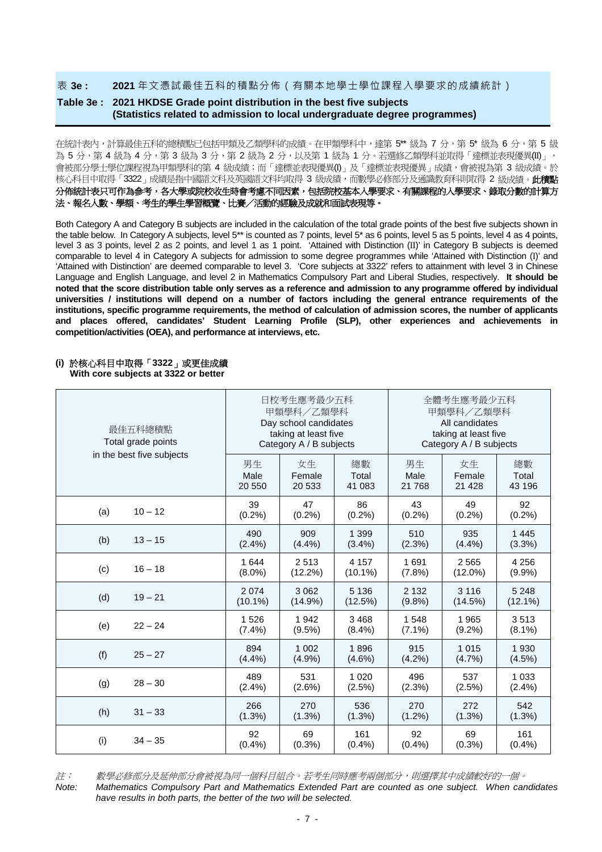表 **3e : 2021** 年文憑試最佳五科的積點分佈(有關本地學士學位課程入學要求的成績統計)

## **Table 3e : 2021 HKDSE Grade point distribution in the best five subjects (Statistics related to admission to local undergraduate degree programmes)**

在統計表內,計算最佳五科的總積點已包括甲類及乙類學科的成績。在甲類學科中,達第 5\*\* 級為 7 分,第 5\* 級為 6 分,第 5 級 為 5 分,第 4 級為 4 分,第 3 級為 3 分,第 2 級為 2 分,以及第 1 級為 1 分。若選修乙類學科並取得「達標並表現優異(II)」, 會被部分學士學位課程視為甲類學科的第 4 級成績;而「達標並表現優異(I)」及「達標並表現優異」成績,會被視為第 3 級成績。於 核心科目中取得「3322」成績是指中國語文科及英國語文科均取得 3 級成績,而數學必修部分及通識教育科則取得 2 級成績。此積點 分佈統計表只可作為参考,各大學或院校收生時會考慮不同因素,包括院校基本入學要求、有關課程的入學要求、錄取分數的計算方 法、報名人數、學額、考生的學生學習概覽、比賽/活動的經驗及成就和面試表現等。

Both Category A and Category B subjects are included in the calculation of the total grade points of the best five subjects shown in the table below. In Category A subjects, level 5<sup>\*\*</sup> is counted as 7 points, level 5\* as 6 points, level 5 as 5 points, level 4 as 4 points, level 3 as 3 points, level 2 as 2 points, and level 1 as 1 point. 'Attained with Distinction (II)' in Category B subjects is deemed comparable to level 4 in Category A subjects for admission to some degree programmes while 'Attained with Distinction (I)' and 'Attained with Distinction' are deemed comparable to level 3. 'Core subjects at 3322' refers to attainment with level 3 in Chinese Language and English Language, and level 2 in Mathematics Compulsory Part and Liberal Studies, respectively. **It should be noted that the score distribution table only serves as a reference and admission to any programme offered by individual universities / institutions will depend on a number of factors including the general entrance requirements of the institutions, specific programme requirements, the method of calculation of admission scores, the number of applicants and places offered, candidates' Student Learning Profile (SLP), other experiences and achievements in competition/activities (OEA), and performance at interviews, etc.** 

#### **(i)** 於核心科目中取得「**3322**」或更佳成績

**With core subjects at 3322 or better**

| 最佳五科總積點<br>Total grade points |            | 日校考生應考最少五科<br>甲類學科/乙類學科<br>Day school candidates<br>taking at least five<br>Category A / B subjects |            | 全體考生應考最少五科<br>甲類學科/乙類學科<br>All candidates<br>taking at least five<br>Category A / B subjects |            |            |  |
|-------------------------------|------------|-----------------------------------------------------------------------------------------------------|------------|----------------------------------------------------------------------------------------------|------------|------------|--|
| in the best five subjects     | 男生         | 女生                                                                                                  | 總數         | 男生                                                                                           | 女生         | 總數         |  |
|                               | Male       | Female                                                                                              | Total      | Male                                                                                         | Female     | Total      |  |
|                               | 20 550     | 20 533                                                                                              | 41 083     | 21 768                                                                                       | 21 4 28    | 43 196     |  |
| (a)                           | 39         | 47                                                                                                  | 86         | 43                                                                                           | 49         | 92         |  |
| $10 - 12$                     | (0.2%)     | (0.2%)                                                                                              | (0.2%)     | (0.2%)                                                                                       | (0.2%)     | (0.2%)     |  |
| (b)                           | 490        | 909                                                                                                 | 1 3 9 9    | 510                                                                                          | 935        | 1 4 4 5    |  |
| $13 - 15$                     | (2.4%)     | $(4.4\%)$                                                                                           | $(3.4\%)$  | $(2.3\%)$                                                                                    | (4.4%)     | (3.3%)     |  |
| (c)                           | 1 644      | 2513                                                                                                | 4 1 5 7    | 1691                                                                                         | 2565       | 4 2 5 6    |  |
| $16 - 18$                     | $(8.0\%)$  | $(12.2\%)$                                                                                          | $(10.1\%)$ | (7.8%)                                                                                       | $(12.0\%)$ | $(9.9\%)$  |  |
| (d)                           | 2 0 7 4    | 3 0 6 2                                                                                             | 5 1 3 6    | 2 1 3 2                                                                                      | 3 1 1 6    | 5 2 4 8    |  |
| $19 - 21$                     | $(10.1\%)$ | (14.9%)                                                                                             | (12.5%)    | (9.8%)                                                                                       | (14.5%)    | $(12.1\%)$ |  |
| $22 - 24$                     | 1526       | 1 942                                                                                               | 3468       | 1 5 4 8                                                                                      | 1965       | 3513       |  |
| (e)                           | (7.4%)     | $(9.5\%)$                                                                                           | $(8.4\%)$  | $(7.1\%)$                                                                                    | $(9.2\%)$  | $(8.1\%)$  |  |
| (f)                           | 894        | 1 0 0 2                                                                                             | 1896       | 915                                                                                          | 1015       | 1 9 3 0    |  |
| $25 - 27$                     | $(4.4\%)$  | (4.9%                                                                                               | $(4.6\%)$  | $(4.2\%)$                                                                                    | $(4.7\%)$  | $(4.5\%)$  |  |
| $28 - 30$                     | 489        | 531                                                                                                 | 1 0 2 0    | 496                                                                                          | 537        | 1 0 3 3    |  |
| (g)                           | $(2.4\%)$  | $(2.6\%)$                                                                                           | (2.5%)     | $(2.3\%)$                                                                                    | (2.5%)     | $(2.4\%)$  |  |
| (h)                           | 266        | 270                                                                                                 | 536        | 270                                                                                          | 272        | 542        |  |
| $31 - 33$                     | $(1.3\%)$  | $(1.3\%)$                                                                                           | (1.3%)     | $(1.2\%)$                                                                                    | $(1.3\%)$  | $(1.3\%)$  |  |
| (i)                           | 92         | 69                                                                                                  | 161        | 92                                                                                           | 69         | 161        |  |
| $34 - 35$                     | (0.4% )    | (0.3% )                                                                                             | $(0.4\%)$  | $(0.4\%)$                                                                                    | $(0.3\%)$  | $(0.4\%)$  |  |

註: 數學必修部分及延伸部分會被視為同一個科目組合。若考生同時應考兩個部分,則選擇其中成績較好的一個。

*Note: Mathematics Compulsory Part and Mathematics Extended Part are counted as one subject. When candidates have results in both parts, the better of the two will be selected.*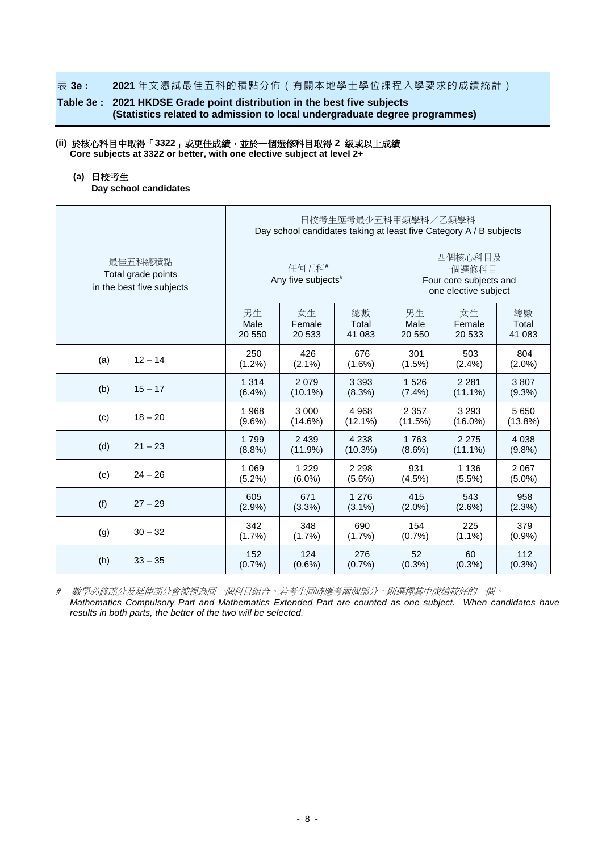#### 表 **3e : 2021** 年文憑試最佳五科的積點分佈(有關本地學士學位課程入學要求的成績統計)

## **Table 3e : 2021 HKDSE Grade point distribution in the best five subjects (Statistics related to admission to local undergraduate degree programmes)**

#### **(ii)** 於核心科目中取得「**3322**」或更佳成績,並於一個選修科目取得 **2** 級或以上成績 **Core subjects at 3322 or better, with one elective subject at level 2+**

#### **(a)** 日校考生

**Day school candidates**

|                                                            | 日校考生應考最少五科甲類學科/乙類學科<br>Day school candidates taking at least five Category A / B subjects |                                         |            |                                                                     |            |            |  |  |
|------------------------------------------------------------|-------------------------------------------------------------------------------------------|-----------------------------------------|------------|---------------------------------------------------------------------|------------|------------|--|--|
| 最佳五科總積點<br>Total grade points<br>in the best five subjects |                                                                                           | 任何五科#<br>Any five subjects <sup>#</sup> |            | 四個核心科目及<br>一個選修科目<br>Four core subjects and<br>one elective subject |            |            |  |  |
|                                                            | 男生                                                                                        | 女生                                      | 總數         | 男生                                                                  | 女生         | 總數         |  |  |
|                                                            | Male                                                                                      | Female                                  | Total      | Male                                                                | Female     | Total      |  |  |
|                                                            | 20 550                                                                                    | 20 533                                  | 41 083     | 20 550                                                              | 20 533     | 41 083     |  |  |
| $12 - 14$                                                  | 250                                                                                       | 426                                     | 676        | 301                                                                 | 503        | 804        |  |  |
| (a)                                                        | $(1.2\%)$                                                                                 | $(2.1\%)$                               | $(1.6\%)$  | (1.5%)                                                              | $(2.4\%)$  | $(2.0\%)$  |  |  |
| (b)                                                        | 1 3 1 4                                                                                   | 2079                                    | 3 3 9 3    | 1526                                                                | 2 2 8 1    | 3807       |  |  |
| $15 - 17$                                                  | $(6.4\%)$                                                                                 | $(10.1\%)$                              | (8.3%)     | $(7.4\%)$                                                           | $(11.1\%)$ | $(9.3\%)$  |  |  |
| $18 - 20$                                                  | 1968                                                                                      | 3 0 0 0                                 | 4 9 6 8    | 2 3 5 7                                                             | 3 2 9 3    | 5650       |  |  |
| (c)                                                        | $(9.6\%)$                                                                                 | $(14.6\%)$                              | $(12.1\%)$ | (11.5%)                                                             | $(16.0\%)$ | $(13.8\%)$ |  |  |
| (d)                                                        | 1799                                                                                      | 2 4 3 9                                 | 4 2 3 8    | 1763                                                                | 2 2 7 5    | 4 0 38     |  |  |
| $21 - 23$                                                  | (8.8%)                                                                                    | (11.9%)                                 | (10.3%)    | $(8.6\%)$                                                           | $(11.1\%)$ | (9.8%      |  |  |
| (e)                                                        | 1 0 6 9                                                                                   | 1 2 2 9                                 | 2 2 9 8    | 931                                                                 | 1 1 3 6    | 2 0 6 7    |  |  |
| $24 - 26$                                                  | $(5.2\%)$                                                                                 | $(6.0\%)$                               | $(5.6\%)$  | (4.5%)                                                              | $(5.5\%)$  | $(5.0\%)$  |  |  |
| (f)                                                        | 605                                                                                       | 671                                     | 1 2 7 6    | 415                                                                 | 543        | 958        |  |  |
| $27 - 29$                                                  | $(2.9\%)$                                                                                 | $(3.3\%)$                               | $(3.1\%)$  | $(2.0\%)$                                                           | $(2.6\%)$  | $(2.3\%)$  |  |  |
| (g)                                                        | 342                                                                                       | 348                                     | 690        | 154                                                                 | 225        | 379        |  |  |
| $30 - 32$                                                  | $(1.7\%)$                                                                                 | $(1.7\%)$                               | (1.7%)     | (0.7%                                                               | $(1.1\%)$  | $(0.9\%)$  |  |  |
| (h)                                                        | 152                                                                                       | 124                                     | 276        | 52                                                                  | 60         | 112        |  |  |
| $33 - 35$                                                  | (0.7%                                                                                     | $(0.6\%)$                               | (0.7%      | $(0.3\%)$                                                           | $(0.3\%)$  | $(0.3\%)$  |  |  |

# 數學必修部分及延伸部分會被視為同一個科目組合。若考生同時應考兩個部分,則選擇其中成績較好的一個。

*Mathematics Compulsory Part and Mathematics Extended Part are counted as one subject. When candidates have results in both parts, the better of the two will be selected.*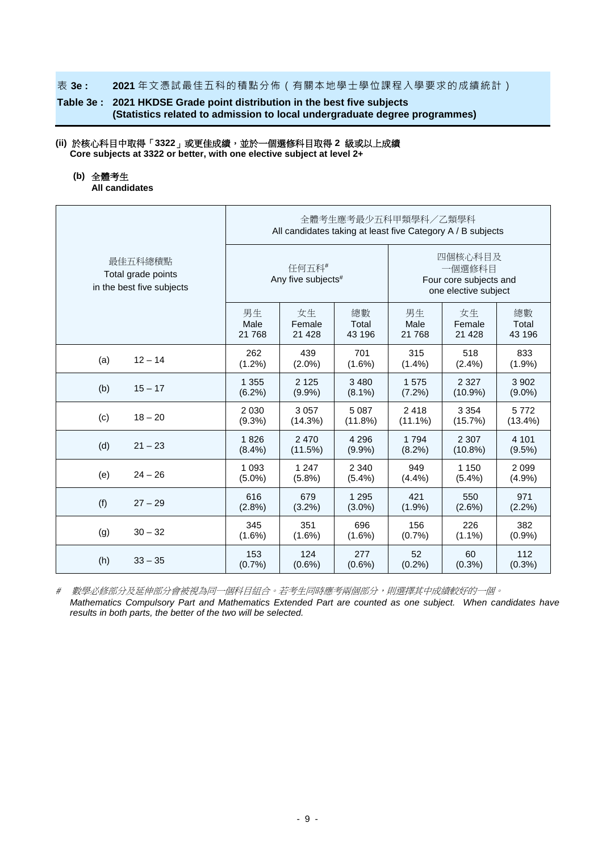#### 表 **3e : 2021** 年文憑試最佳五科的積點分佈(有關本地學士學位課程入學要求的成績統計)

## **Table 3e : 2021 HKDSE Grade point distribution in the best five subjects (Statistics related to admission to local undergraduate degree programmes)**

### **(ii)** 於核心科目中取得「**3322**」或更佳成績,並於一個選修科目取得 **2** 級或以上成績 **Core subjects at 3322 or better, with one elective subject at level 2+**

### **(b)** 全體考生

**All candidates**

|                                                            | 全體考生應考最少五科甲類學科/乙類學科<br>All candidates taking at least five Category A / B subjects |                             |           |                                                                     |            |            |  |  |
|------------------------------------------------------------|------------------------------------------------------------------------------------|-----------------------------|-----------|---------------------------------------------------------------------|------------|------------|--|--|
| 最佳五科總積點<br>Total grade points<br>in the best five subjects |                                                                                    | 任何五科#<br>Any five subjects# |           | 四個核心科目及<br>一個選修科目<br>Four core subjects and<br>one elective subject |            |            |  |  |
|                                                            | 男生                                                                                 | 女生                          | 總數        | 男生                                                                  | 女生         | 總數         |  |  |
|                                                            | Male                                                                               | Female                      | Total     | Male                                                                | Female     | Total      |  |  |
|                                                            | 21 768                                                                             | 21 4 28                     | 43 196    | 21 768                                                              | 21 4 28    | 43 196     |  |  |
| (a)                                                        | 262                                                                                | 439                         | 701       | 315                                                                 | 518        | 833        |  |  |
| $12 - 14$                                                  | $(1.2\%)$                                                                          | $(2.0\%)$                   | $(1.6\%)$ | $(1.4\%)$                                                           | $(2.4\%)$  | $(1.9\%)$  |  |  |
| (b)                                                        | 1 3 5 5                                                                            | 2 1 2 5                     | 3 4 8 0   | 1575                                                                | 2 3 2 7    | 3 9 0 2    |  |  |
| $15 - 17$                                                  | (6.2%)                                                                             | $(9.9\%)$                   | $(8.1\%)$ | $(7.2\%)$                                                           | $(10.9\%)$ | $(9.0\%)$  |  |  |
| (c)                                                        | 2 0 3 0                                                                            | 3 0 5 7                     | 5 0 8 7   | 2418                                                                | 3 3 5 4    | 5772       |  |  |
| $18 - 20$                                                  | $(9.3\%)$                                                                          | (14.3%)                     | (11.8%)   | $(11.1\%)$                                                          | (15.7%)    | $(13.4\%)$ |  |  |
| (d)                                                        | 1826                                                                               | 2 4 7 0                     | 4 2 9 6   | 1 7 9 4                                                             | 2 3 0 7    | 4 1 0 1    |  |  |
| $21 - 23$                                                  | (8.4%)                                                                             | (11.5%)                     | (9.9%     | $(8.2\%)$                                                           | $(10.8\%)$ | $(9.5\%)$  |  |  |
| (e)                                                        | 1 0 9 3                                                                            | 1 2 4 7                     | 2 3 4 0   | 949                                                                 | 1 1 5 0    | 2 0 9 9    |  |  |
| $24 - 26$                                                  | $(5.0\%)$                                                                          | $(5.8\%)$                   | (5.4%)    | (4.4%)                                                              | $(5.4\%)$  | (4.9%      |  |  |
| (f)                                                        | 616                                                                                | 679                         | 1 2 9 5   | 421                                                                 | 550        | 971        |  |  |
| $27 - 29$                                                  | $(2.8\%)$                                                                          | $(3.2\%)$                   | $(3.0\%)$ | $(1.9\%)$                                                           | $(2.6\%)$  | $(2.2\%)$  |  |  |
| (g)                                                        | 345                                                                                | 351                         | 696       | 156                                                                 | 226        | 382        |  |  |
| $30 - 32$                                                  | $(1.6\%)$                                                                          | $(1.6\%)$                   | $(1.6\%)$ | (0.7%                                                               | $(1.1\%)$  | (0.9%      |  |  |
| (h)                                                        | 153                                                                                | 124                         | 277       | 52                                                                  | 60         | 112        |  |  |
| $33 - 35$                                                  | (0.7%                                                                              | $(0.6\%)$                   | $(0.6\%)$ | $(0.2\%)$                                                           | $(0.3\%)$  | $(0.3\%)$  |  |  |

# 數學必修部分及延伸部分會被視為同一個科目組合。若考生同時應考兩個部分,則選擇其中成績較好的一個。

*Mathematics Compulsory Part and Mathematics Extended Part are counted as one subject. When candidates have results in both parts, the better of the two will be selected.*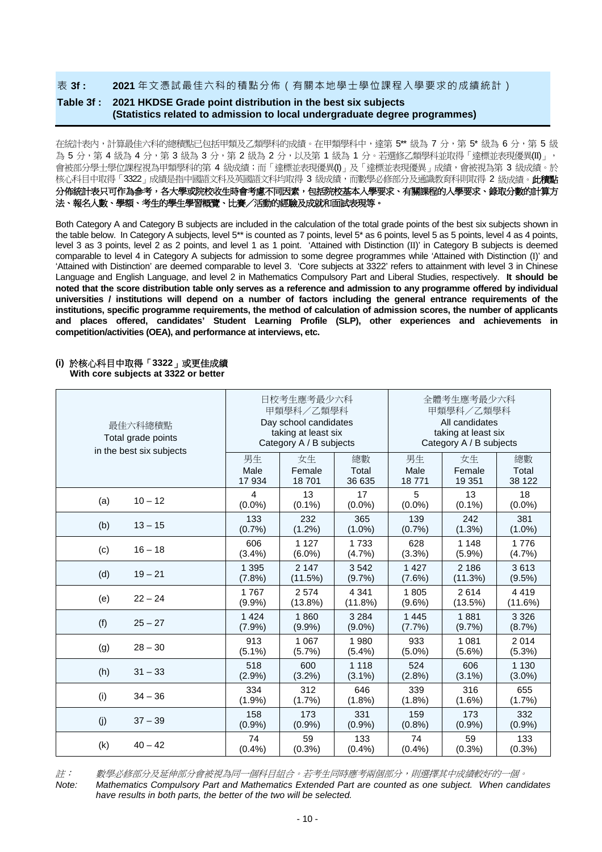#### 表 **3f : 2021** 年文憑試最佳六科的積點分佈(有關本地學士學位課程入學要求的成績統計)

## **Table 3f : 2021 HKDSE Grade point distribution in the best six subjects (Statistics related to admission to local undergraduate degree programmes)**

在統計表內,計算最佳六科的總積點已包括甲類及乙類學科的成績。在甲類學科中,達第 5\*\* 級為 7 分,第 5\* 級為 6 分,第 5 級 為 5 分,第 4 級為 4 分,第 3 級為 3 分,第 2 級為 2 分,以及第 1 級為 1 分。若選修乙類學科並取得「達標並表現優異(II)」, 會被部分學士學位課程視為甲類學科的第 4 級成績;而「達標並表現優異(I)」及「達標並表現優異」成績,會被視為第 3 級成績。於 核心科目中取得「3322」成績是指中國語文科及英國語文科均取得 3 級成績,而數學必修部分及通識教育科則取得 2 級成績。此**積點** 分佈統計表只可作為参考,各大學或院校收生時會考慮不同因素,包括院校基本入學要求、有關課程的入學要求、錄取分數的計算方 法、報名人數、學額、考生的學生學習概覽、比賽/活動的經驗及成就和面試表現等。

Both Category A and Category B subjects are included in the calculation of the total grade points of the best six subjects shown in the table below. In Category A subjects, level 5<sup>\*\*</sup> is counted as 7 points, level 5<sup>\*</sup> as 6 points, level 5 as 5 points, level 4 as 4 points, level 3 as 3 points, level 2 as 2 points, and level 1 as 1 point. 'Attained with Distinction (II)' in Category B subjects is deemed comparable to level 4 in Category A subjects for admission to some degree programmes while 'Attained with Distinction (I)' and 'Attained with Distinction' are deemed comparable to level 3. 'Core subjects at 3322' refers to attainment with level 3 in Chinese Language and English Language, and level 2 in Mathematics Compulsory Part and Liberal Studies, respectively. **It should be noted that the score distribution table only serves as a reference and admission to any programme offered by individual universities / institutions will depend on a number of factors including the general entrance requirements of the institutions, specific programme requirements, the method of calculation of admission scores, the number of applicants and places offered, candidates' Student Learning Profile (SLP), other experiences and achievements in competition/activities (OEA), and performance at interviews, etc.** 

#### **(i)** 於核心科目中取得「**3322**」或更佳成績

**With core subjects at 3322 or better**

| 最佳六科總積點<br>Total grade points<br>in the best six subjects |           | 日校考生應考最少六科<br>甲類學科/乙類學科<br>Day school candidates<br>taking at least six<br>Category A / B subjects |           | 全體考生應考最少六科<br>甲類學科/乙類學科<br>All candidates<br>taking at least six<br>Category A / B subjects |           |           |  |
|-----------------------------------------------------------|-----------|----------------------------------------------------------------------------------------------------|-----------|---------------------------------------------------------------------------------------------|-----------|-----------|--|
|                                                           | 男生        | 女生                                                                                                 | 總數        | 男生                                                                                          | 女生        | 總數        |  |
|                                                           | Male      | Female                                                                                             | Total     | Male                                                                                        | Female    | Total     |  |
|                                                           | 17 934    | 18701                                                                                              | 36 635    | 18771                                                                                       | 19 351    | 38 122    |  |
| $10 - 12$                                                 | 4         | 13                                                                                                 | 17        | 5                                                                                           | 13        | 18        |  |
| (a)                                                       | $(0.0\%)$ | $(0.1\%)$                                                                                          | $(0.0\%)$ | $(0.0\%)$                                                                                   | $(0.1\%)$ | $(0.0\%)$ |  |
| $13 - 15$                                                 | 133       | 232                                                                                                | 365       | 139                                                                                         | 242       | 381       |  |
| (b)                                                       | (0.7%     | $(1.2\%)$                                                                                          | $(1.0\%)$ | (0.7%                                                                                       | $(1.3\%)$ | $(1.0\%)$ |  |
| (c)                                                       | 606       | 1 1 2 7                                                                                            | 1 7 3 3   | 628                                                                                         | 1 1 4 8   | 1776      |  |
| $16 - 18$                                                 | (3.4%)    | $(6.0\%)$                                                                                          | (4.7%)    | (3.3%)                                                                                      | (5.9%)    | (4.7%)    |  |
| (d)                                                       | 1 3 9 5   | 2 1 4 7                                                                                            | 3542      | 1 4 2 7                                                                                     | 2 1 8 6   | 3613      |  |
| $19 - 21$                                                 | (7.8%)    | (11.5%)                                                                                            | $(9.7\%)$ | (7.6%)                                                                                      | (11.3%)   | $(9.5\%)$ |  |
| (e)                                                       | 1767      | 2 5 7 4                                                                                            | 4 3 4 1   | 1805                                                                                        | 2614      | 4419      |  |
| $22 - 24$                                                 | (9.9%     | (13.8%)                                                                                            | (11.8%)   | $(9.6\%)$                                                                                   | (13.5%)   | (11.6%)   |  |
| (f)                                                       | 1 4 2 4   | 1860                                                                                               | 3 2 8 4   | 1 4 4 5                                                                                     | 1881      | 3 3 2 6   |  |
| $25 - 27$                                                 | (7.9%)    | $(9.9\%)$                                                                                          | $(9.0\%)$ | $(7.7\%)$                                                                                   | (9.7%     | (8.7%)    |  |
| $28 - 30$                                                 | 913       | 1 0 6 7                                                                                            | 1980      | 933                                                                                         | 1 0 8 1   | 2014      |  |
| (g)                                                       | $(5.1\%)$ | (5.7%)                                                                                             | (5.4%)    | $(5.0\%)$                                                                                   | $(5.6\%)$ | (5.3%)    |  |
| (h)                                                       | 518       | 600                                                                                                | 1 1 1 8   | 524                                                                                         | 606       | 1 1 3 0   |  |
| $31 - 33$                                                 | $(2.9\%)$ | $(3.2\%)$                                                                                          | $(3.1\%)$ | $(2.8\%)$                                                                                   | $(3.1\%)$ | $(3.0\%)$ |  |
| (i)                                                       | 334       | 312                                                                                                | 646       | 339                                                                                         | 316       | 655       |  |
| $34 - 36$                                                 | $(1.9\%)$ | (1.7%)                                                                                             | $(1.8\%)$ | (1.8%)                                                                                      | $(1.6\%)$ | (1.7%)    |  |
| (j)                                                       | 158       | 173                                                                                                | 331       | 159                                                                                         | 173       | 332       |  |
| $37 - 39$                                                 | $(0.9\%)$ | $(0.9\%)$                                                                                          | $(0.9\%)$ | $(0.8\%)$                                                                                   | $(0.9\%)$ | $(0.9\%)$ |  |
| (k)                                                       | 74        | 59                                                                                                 | 133       | 74                                                                                          | 59        | 133       |  |
| $40 - 42$                                                 | (0.4% )   | $(0.3\%)$                                                                                          | (0.4% )   | (0.4% )                                                                                     | $(0.3\%)$ | $(0.3\%)$ |  |

註: 數學必修部分及延伸部分會被視為同一個科目組合。若考生同時應考兩個部分,則選擇其中成績較好的一個。

*Note: Mathematics Compulsory Part and Mathematics Extended Part are counted as one subject. When candidates have results in both parts, the better of the two will be selected.*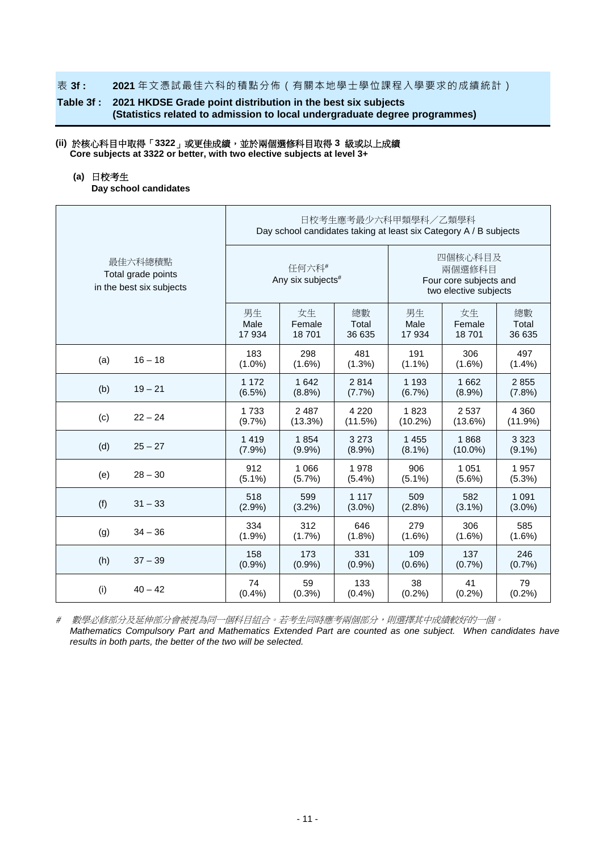#### 表 **3f : 2021** 年文憑試最佳六科的積點分佈(有關本地學士學位課程入學要求的成績統計)

## **Table 3f : 2021 HKDSE Grade point distribution in the best six subjects (Statistics related to admission to local undergraduate degree programmes)**

#### **(ii)** 於核心科目中取得「**3322**」或更佳成績,並於兩個選修科目取得 **3** 級或以上成績 **Core subjects at 3322 or better, with two elective subjects at level 3+**

#### **(a)** 日校考生

**Day school candidates**

|                                                           | 日校考生應考最少六科甲類學科/乙類學科<br>Day school candidates taking at least six Category A / B subjects |                            |           |                                                                      |            |           |  |  |
|-----------------------------------------------------------|------------------------------------------------------------------------------------------|----------------------------|-----------|----------------------------------------------------------------------|------------|-----------|--|--|
| 最佳六科總積點<br>Total grade points<br>in the best six subjects |                                                                                          | 任何六科#<br>Any six subjects# |           | 四個核心科目及<br>兩個選修科目<br>Four core subjects and<br>two elective subjects |            |           |  |  |
|                                                           | 男生                                                                                       | 女生                         | 總數        | 男生                                                                   | 女生         | 總數        |  |  |
|                                                           | Male                                                                                     | Female                     | Total     | Male                                                                 | Female     | Total     |  |  |
|                                                           | 17 934                                                                                   | 18701                      | 36 635    | 17934                                                                | 18701      | 36 635    |  |  |
| (a)                                                       | 183                                                                                      | 298                        | 481       | 191                                                                  | 306        | 497       |  |  |
| $16 - 18$                                                 | $(1.0\%)$                                                                                | $(1.6\%)$                  | (1.3%)    | $(1.1\%)$                                                            | $(1.6\%)$  | $(1.4\%)$ |  |  |
| (b)                                                       | 1 1 7 2                                                                                  | 1 6 4 2                    | 2814      | 1 1 9 3                                                              | 1662       | 2855      |  |  |
| $19 - 21$                                                 | (6.5%)                                                                                   | (8.8%)                     | (7.7%)    | (6.7%)                                                               | $(8.9\%)$  | (7.8%)    |  |  |
| (c)                                                       | 1733                                                                                     | 2 4 8 7                    | 4 2 2 0   | 1823                                                                 | 2537       | 4 3 6 0   |  |  |
| $22 - 24$                                                 | (9.7%                                                                                    | (13.3%)                    | (11.5%)   | $(10.2\%)$                                                           | $(13.6\%)$ | (11.9%)   |  |  |
| (d)                                                       | 1 4 1 9                                                                                  | 1854                       | 3 2 7 3   | 1 4 5 5                                                              | 1868       | 3 3 2 3   |  |  |
| $25 - 27$                                                 | $(7.9\%)$                                                                                | $(9.9\%)$                  | $(8.9\%)$ | $(8.1\%)$                                                            | $(10.0\%)$ | $(9.1\%)$ |  |  |
| (e)                                                       | 912                                                                                      | 1 0 6 6                    | 1978      | 906                                                                  | 1 0 5 1    | 1957      |  |  |
| $28 - 30$                                                 | $(5.1\%)$                                                                                | $(5.7\%)$                  | $(5.4\%)$ | $(5.1\%)$                                                            | $(5.6\%)$  | $(5.3\%)$ |  |  |
| (f)                                                       | 518                                                                                      | 599                        | 1 1 1 7   | 509                                                                  | 582        | 1 0 9 1   |  |  |
| $31 - 33$                                                 | $(2.9\%)$                                                                                | $(3.2\%)$                  | $(3.0\%)$ | $(2.8\%)$                                                            | $(3.1\%)$  | $(3.0\%)$ |  |  |
| $34 - 36$                                                 | 334                                                                                      | 312                        | 646       | 279                                                                  | 306        | 585       |  |  |
| (g)                                                       | (1.9%)                                                                                   | (1.7%)                     | $(1.8\%)$ | $(1.6\%)$                                                            | $(1.6\%)$  | $(1.6\%)$ |  |  |
| (h)                                                       | 158                                                                                      | 173                        | 331       | 109                                                                  | 137        | 246       |  |  |
| $37 - 39$                                                 | (0.9%                                                                                    | $(0.9\%)$                  | $(0.9\%)$ | $(0.6\%)$                                                            | (0.7%      | (0.7%     |  |  |
| (i)                                                       | 74                                                                                       | 59                         | 133       | 38                                                                   | 41         | 79        |  |  |
| $40 - 42$                                                 | (0.4% )                                                                                  | $(0.3\%)$                  | $(0.4\%)$ | (0.2%)                                                               | (0.2%)     | (0.2%)    |  |  |

# 數學必修部分及延伸部分會被視為同一個科目組合。若考生同時應考兩個部分,則選擇其中成績較好的一個。 *Mathematics Compulsory Part and Mathematics Extended Part are counted as one subject. When candidates have results in both parts, the better of the two will be selected.*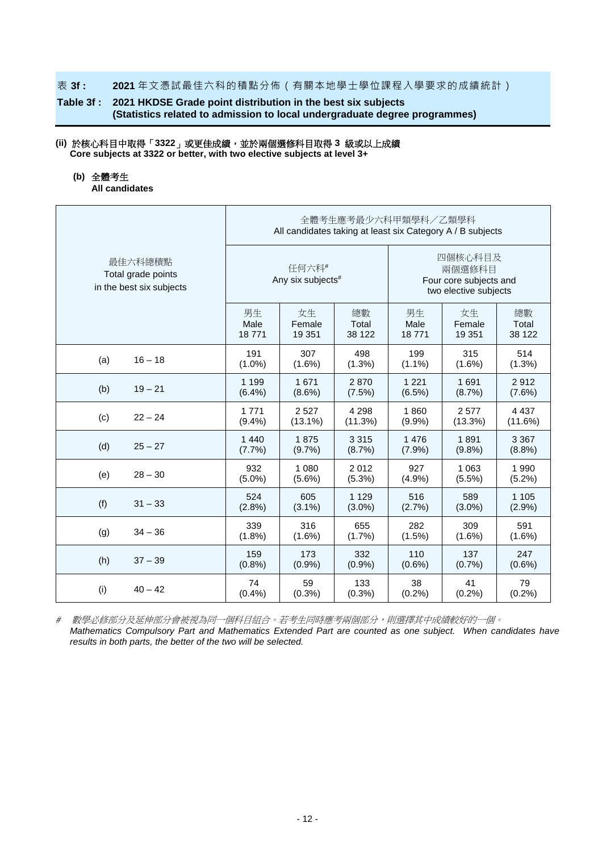#### 表 **3f : 2021** 年文憑試最佳六科的積點分佈(有關本地學士學位課程入學要求的成績統計)

## **Table 3f : 2021 HKDSE Grade point distribution in the best six subjects (Statistics related to admission to local undergraduate degree programmes)**

#### **(ii)** 於核心科目中取得「**3322**」或更佳成績,並於兩個選修科目取得 **3** 級或以上成績 **Core subjects at 3322 or better, with two elective subjects at level 3+**

#### **(b)** 全體考生

**All candidates**

|                                                           | 全體考生應考最少六科甲類學科/乙類學科<br>All candidates taking at least six Category A / B subjects |                                        |           |                                                                      |           |           |  |  |  |
|-----------------------------------------------------------|-----------------------------------------------------------------------------------|----------------------------------------|-----------|----------------------------------------------------------------------|-----------|-----------|--|--|--|
| 最佳六科總積點<br>Total grade points<br>in the best six subjects |                                                                                   | 任何六科#<br>Any six subjects <sup>#</sup> |           | 四個核心科目及<br>兩個選修科目<br>Four core subjects and<br>two elective subjects |           |           |  |  |  |
|                                                           | 男生                                                                                | 女生                                     | 總數        | 男生                                                                   | 女生        | 總數        |  |  |  |
|                                                           | Male                                                                              | Female                                 | Total     | Male                                                                 | Female    | Total     |  |  |  |
|                                                           | 18771                                                                             | 19 351                                 | 38 122    | 18771                                                                | 19 351    | 38 122    |  |  |  |
| (a)                                                       | 191                                                                               | 307                                    | 498       | 199                                                                  | 315       | 514       |  |  |  |
| $16 - 18$                                                 | $(1.0\%)$                                                                         | $(1.6\%)$                              | (1.3%)    | $(1.1\%)$                                                            | $(1.6\%)$ | (1.3%)    |  |  |  |
| (b)                                                       | 1 1 9 9                                                                           | 1671                                   | 2870      | 1 2 2 1                                                              | 1691      | 2912      |  |  |  |
| $19 - 21$                                                 | (6.4%)                                                                            | $(8.6\%)$                              | (7.5%)    | (6.5%)                                                               | (8.7%)    | (7.6%)    |  |  |  |
| $22 - 24$                                                 | 1 7 7 1                                                                           | 2 5 2 7                                | 4 2 9 8   | 1860                                                                 | 2577      | 4 4 3 7   |  |  |  |
| (c)                                                       | (9.4% )                                                                           | $(13.1\%)$                             | (11.3%)   | $(9.9\%)$                                                            | (13.3%)   | (11.6%)   |  |  |  |
| (d)                                                       | 1 4 4 0                                                                           | 1875                                   | 3 3 1 5   | 1476                                                                 | 1891      | 3 3 6 7   |  |  |  |
| $25 - 27$                                                 | (7.7%)                                                                            | $(9.7\%)$                              | (8.7%)    | (7.9%)                                                               | $(9.8\%)$ | (8.8%)    |  |  |  |
| $28 - 30$                                                 | 932                                                                               | 1 0 8 0                                | 2012      | 927                                                                  | 1 0 6 3   | 1 9 9 0   |  |  |  |
| (e)                                                       | $(5.0\%)$                                                                         | $(5.6\%)$                              | (5.3%)    | (4.9%)                                                               | $(5.5\%)$ | (5.2%)    |  |  |  |
| (f)                                                       | 524                                                                               | 605                                    | 1 1 2 9   | 516                                                                  | 589       | 1 1 0 5   |  |  |  |
| $31 - 33$                                                 | (2.8%)                                                                            | $(3.1\%)$                              | $(3.0\%)$ | (2.7%)                                                               | $(3.0\%)$ | (2.9%)    |  |  |  |
| $34 - 36$                                                 | 339                                                                               | 316                                    | 655       | 282                                                                  | 309       | 591       |  |  |  |
| (g)                                                       | (1.8%)                                                                            | $(1.6\%)$                              | (1.7%)    | (1.5%)                                                               | $(1.6\%)$ | $(1.6\%)$ |  |  |  |
| (h)                                                       | 159                                                                               | 173                                    | 332       | 110                                                                  | 137       | 247       |  |  |  |
| $37 - 39$                                                 | (0.8% )                                                                           | (0.9%                                  | (0.9%     | $(0.6\%)$                                                            | (0.7%     | $(0.6\%)$ |  |  |  |
| (i)                                                       | 74                                                                                | 59                                     | 133       | 38                                                                   | 41        | 79        |  |  |  |
| $40 - 42$                                                 | (0.4% )                                                                           | (0.3% )                                | (0.3%)    | (0.2%)                                                               | (0.2%)    | (0.2%)    |  |  |  |

# 數學必修部分及延伸部分會被視為同一個科目組合。若考生同時應考兩個部分,則選擇其中成績較好的一個。 *Mathematics Compulsory Part and Mathematics Extended Part are counted as one subject. When candidates have results in both parts, the better of the two will be selected.*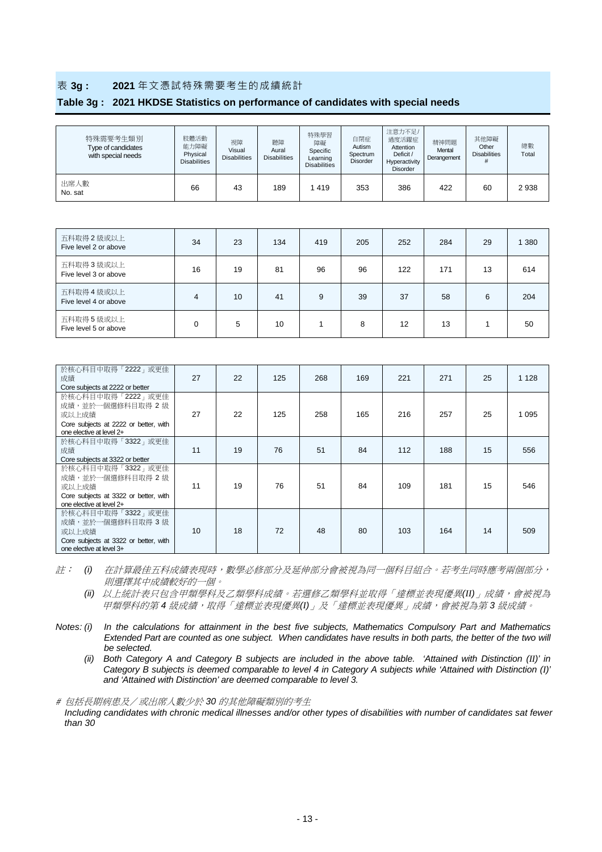#### 表 **3g : 2021** 年文憑試特殊需要考生的成績統計

#### **Table 3g : 2021 HKDSE Statistics on performance of candidates with special needs**

| 特殊需要考生類別<br>Type of candidates<br>with special needs | 肢體活動<br>能力障礙<br>Physical<br><b>Disabilities</b> | 視障<br>Visual<br><b>Disabilities</b> | 聽障<br>Aural<br><b>Disabilities</b> | 特殊學習<br>障礙<br>Specific<br>Learning<br><b>Disabilities</b> | 自閉症<br>Autism<br>Spectrum<br><b>Disorder</b> | 注意力不足/<br>過度活躍症<br>Attention<br>Deficit /<br>Hyperactivity<br><b>Disorder</b> | 精神問題<br>Mental<br>Derangement | 其他障礙<br>Other<br><b>Disabilities</b> | 總數<br>Total |
|------------------------------------------------------|-------------------------------------------------|-------------------------------------|------------------------------------|-----------------------------------------------------------|----------------------------------------------|-------------------------------------------------------------------------------|-------------------------------|--------------------------------------|-------------|
| 出席人數<br>No. sat                                      | 66                                              | 43                                  | 189                                | 419                                                       | 353                                          | 386                                                                           | 422                           | 60                                   | 2938        |

| 五科取得 2 級或以上<br>Five level 2 or above | 34 | 23 | 134 | 419 | 205 | 252 | 284 | 29 | 380 |
|--------------------------------------|----|----|-----|-----|-----|-----|-----|----|-----|
| 五科取得 3 級或以上<br>Five level 3 or above | 16 | 19 | 81  | 96  | 96  | 122 | 171 | 13 | 614 |
| 五科取得 4 級或以上<br>Five level 4 or above | 4  | 10 | 41  | 9   | 39  | 37  | 58  | 6  | 204 |
| 五科取得5級或以上<br>Five level 5 or above   |    | 5  | 10  |     | 8   | 12  | 13  |    | 50  |

| 於核心科目中取得「2222」或更佳<br>成績<br>Core subjects at 2222 or better                                                          | 27 | 22 | 125 | 268 | 169 | 221 | 271 | 25 | 1 1 2 8 |
|---------------------------------------------------------------------------------------------------------------------|----|----|-----|-----|-----|-----|-----|----|---------|
| 於核心科目中取得「2222」或更佳<br>成績,並於一個選修科目取得 2級<br>或以上成績<br>Core subjects at 2222 or better, with<br>one elective at level 2+ | 27 | 22 | 125 | 258 | 165 | 216 | 257 | 25 | 1 0 9 5 |
| 於核心科目中取得「3322」或更佳<br>成績<br>Core subjects at 3322 or better                                                          | 11 | 19 | 76  | 51  | 84  | 112 | 188 | 15 | 556     |
| 於核心科目中取得「3322」或更佳<br>成績,並於一個選修科目取得 2級<br>或以上成績<br>Core subjects at 3322 or better, with<br>one elective at level 2+ | 11 | 19 | 76  | 51  | 84  | 109 | 181 | 15 | 546     |
| 於核心科目中取得「3322」或更佳<br>成績,並於一個選修科目取得 3級<br>或以上成績<br>Core subjects at 3322 or better, with<br>one elective at level 3+ | 10 | 18 | 72  | 48  | 80  | 103 | 164 | 14 | 509     |

註: *(i)* 在計算最佳五科成績表現時,數學必修部分及延伸部分會被視為同一個科目組合。若考生同時應考兩個部分, 則選擇其中成績較好的一個。

*(ii)* 以上統計表只包含甲類學科及乙類學科成績。若選修乙類學科並取得「達標並表現優異*(II)*」成績,會被視為 甲類學科的第 *4* 級成績,取得「達標並表現優異*(I)*」及「達標並表現優異」成績,會被視為第 *3* 級成績。

*Notes: (i) In the calculations for attainment in the best five subjects, Mathematics Compulsory Part and Mathematics Extended Part are counted as one subject. When candidates have results in both parts, the better of the two will be selected.*

*(ii) Both Category A and Category B subjects are included in the above table. 'Attained with Distinction (II)' in Category B subjects is deemed comparable to level 4 in Category A subjects while 'Attained with Distinction (I)' and 'Attained with Distinction' are deemed comparable to level 3.*

# 包括長期病患及/或出席人數少於 *30* 的其他障礙類別的考生

*Including candidates with chronic medical illnesses and/or other types of disabilities with number of candidates sat fewer than 30*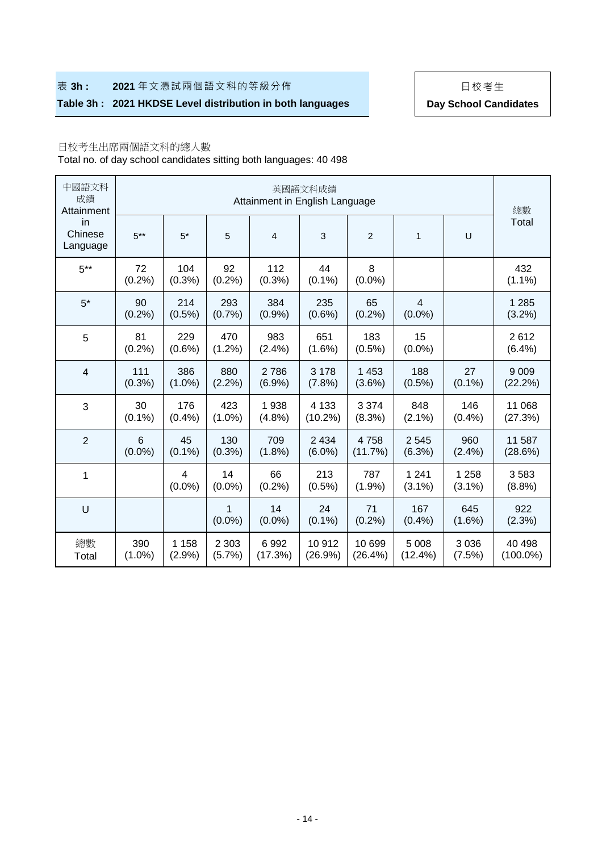## **表 3h : 2021** 年文憑試兩個語文科的等級分佈 | 日校考生

## Table 3h : 2021 HKDSE Level distribution in both languages **Day School Candidates**

## 日校考生出席兩個語文科的總人數

Total no. of day school candidates sitting both languages: 40 498

| 中國語文科<br>成績<br>Attainment | 英國語文科成績<br>Attainment in English Language |                   |                   |                 |                       |                      |                             |                      |                       |  |  |  |  |
|---------------------------|-------------------------------------------|-------------------|-------------------|-----------------|-----------------------|----------------------|-----------------------------|----------------------|-----------------------|--|--|--|--|
| in<br>Chinese<br>Language | $5***$                                    | $5*$              | 5                 | 4               | 3                     | $\overline{c}$       | 1                           | U                    | 總數<br>Total           |  |  |  |  |
| $5***$                    | 72<br>(0.2%)                              | 104<br>(0.3% )    | 92<br>(0.2%)      | 112<br>(0.3% )  | 44<br>$(0.1\%)$       | 8<br>$(0.0\%)$       |                             |                      | 432<br>$(1.1\%)$      |  |  |  |  |
| $5*$                      | 90<br>(0.2%                               | 214<br>$(0.5\%)$  | 293<br>(0.7%      | 384<br>(0.9%    | 235<br>$(0.6\%)$      | 65<br>(0.2%)         | $\overline{4}$<br>$(0.0\%)$ |                      | 1 2 8 5<br>(3.2%)     |  |  |  |  |
| 5                         | 81<br>(0.2%)                              | 229<br>$(0.6\%)$  | 470<br>(1.2%)     | 983<br>(2.4%)   | 651<br>$(1.6\%)$      | 183<br>$(0.5\%)$     | 15<br>$(0.0\%)$             |                      | 2612<br>(6.4%)        |  |  |  |  |
| $\overline{4}$            | 111<br>(0.3% )                            | 386<br>$(1.0\%)$  | 880<br>(2.2%)     | 2786<br>(6.9%)  | 3 1 7 8<br>(7.8%)     | 1 4 5 3<br>$(3.6\%)$ | 188<br>$(0.5\%)$            | 27<br>$(0.1\%)$      | 9 0 0 9<br>(22.2%)    |  |  |  |  |
| 3                         | 30<br>$(0.1\%)$                           | 176<br>(0.4% )    | 423<br>$(1.0\%)$  | 1938<br>(4.8%)  | 4 1 3 3<br>$(10.2\%)$ | 3 3 7 4<br>(8.3%)    | 848<br>$(2.1\%)$            | 146<br>(0.4% )       | 11 068<br>(27.3%)     |  |  |  |  |
| $\overline{2}$            | $6\phantom{1}$<br>$(0.0\%)$               | 45<br>$(0.1\%)$   | 130<br>(0.3%)     | 709<br>(1.8%)   | 2 4 3 4<br>$(6.0\%)$  | 4758<br>(11.7%)      | 2 5 4 5<br>(6.3%)           | 960<br>(2.4%)        | 11 587<br>(28.6%)     |  |  |  |  |
| 1                         |                                           | 4<br>$(0.0\%)$    | 14<br>$(0.0\%)$   | 66<br>(0.2%)    | 213<br>$(0.5\%)$      | 787<br>(1.9%         | 1 2 4 1<br>$(3.1\%)$        | 1 2 5 8<br>$(3.1\%)$ | 3583<br>(8.8%)        |  |  |  |  |
| U                         |                                           |                   | 1<br>$(0.0\%)$    | 14<br>$(0.0\%)$ | 24<br>$(0.1\%)$       | 71<br>(0.2%)         | 167<br>$(0.4\%)$            | 645<br>$(1.6\%)$     | 922<br>(2.3%)         |  |  |  |  |
| 總數<br>Total               | 390<br>$(1.0\%)$                          | 1 1 5 8<br>(2.9%) | 2 3 0 3<br>(5.7%) | 6992<br>(17.3%) | 10 912<br>(26.9%)     | 10 699<br>(26.4%)    | 5 0 0 8<br>$(12.4\%)$       | 3 0 3 6<br>(7.5%)    | 40 498<br>$(100.0\%)$ |  |  |  |  |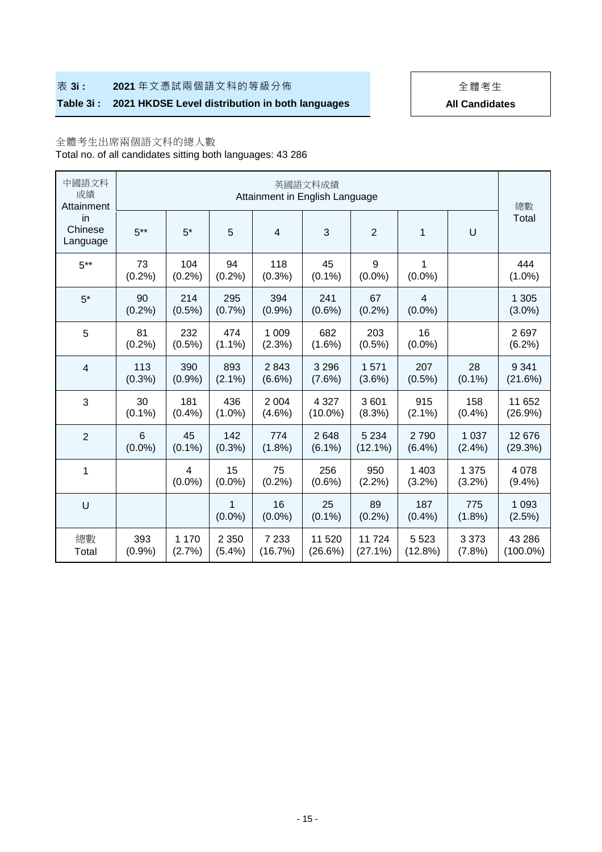## **表 3i : 2021** 年文憑試兩個語文科的等級分佈 → → → → → 全體考生

# **Table 3i : 2021 HKDSE Level distribution in both languages All Candidates**

# 全體考生出席兩個語文科的總人數

Total no. of all candidates sitting both languages: 43 286

| 中國語文科<br>成績<br>Attainment |                 |                   |                   | Attainment in English Language | 英國語文科成績               |                       |                    |                   | 總數                    |  |
|---------------------------|-----------------|-------------------|-------------------|--------------------------------|-----------------------|-----------------------|--------------------|-------------------|-----------------------|--|
| in<br>Chinese<br>Language | $5***$          | $5*$              | 5                 | $\overline{\mathbf{4}}$        | 3                     | $\overline{c}$        | 1                  | U                 | Total                 |  |
| $5***$                    | 73<br>(0.2%)    | 104<br>(0.2%)     | 94<br>(0.2%)      | 118<br>(0.3% )                 | 45<br>$(0.1\%)$       | 9<br>$(0.0\%)$        | 1<br>$(0.0\%)$     |                   | 444<br>$(1.0\%)$      |  |
| $5*$                      | 90<br>(0.2%)    | 214<br>$(0.5\%)$  | 295<br>(0.7%      | 394<br>(0.9%                   | 241<br>$(0.6\%)$      | 67<br>(0.2%)          | 4<br>$(0.0\%)$     |                   | 1 3 0 5<br>$(3.0\%)$  |  |
| 5                         | 81<br>(0.2%)    | 232<br>$(0.5\%)$  | 474<br>$(1.1\%)$  | 1 0 0 9<br>(2.3%)              | 682<br>$(1.6\%)$      | 203<br>$(0.5\%)$      | 16<br>$(0.0\%)$    |                   | 2697<br>(6.2%)        |  |
| $\overline{\mathbf{4}}$   | 113<br>(0.3% )  | 390<br>(0.9%      | 893<br>$(2.1\%)$  | 2843<br>$(6.6\%)$              | 3 2 9 6<br>$(7.6\%)$  | 1571<br>$(3.6\%)$     | 207<br>$(0.5\%)$   | 28<br>$(0.1\%)$   | 9 3 4 1<br>(21.6%)    |  |
| 3                         | 30<br>$(0.1\%)$ | 181<br>(0.4% )    | 436<br>$(1.0\%)$  | 2 0 0 4<br>$(4.6\%)$           | 4 3 2 7<br>$(10.0\%)$ | 3601<br>(8.3%)        | 915<br>$(2.1\%)$   | 158<br>(0.4%      | 11 652<br>(26.9%)     |  |
| $\overline{2}$            | 6<br>$(0.0\%)$  | 45<br>$(0.1\%)$   | 142<br>$(0.3\%)$  | 774<br>$(1.8\%)$               | 2648<br>$(6.1\%)$     | 5 2 3 4<br>$(12.1\%)$ | 2790<br>(6.4%)     | 1 0 3 7<br>(2.4%) | 12 676<br>(29.3%)     |  |
| 1                         |                 | 4<br>$(0.0\%)$    | 15<br>$(0.0\%)$   | 75<br>(0.2%)                   | 256<br>$(0.6\%)$      | 950<br>(2.2%)         | 1 4 0 3<br>(3.2%)  | 1 3 7 5<br>(3.2%) | 4 0 7 8<br>(9.4% )    |  |
| U                         |                 |                   | 1<br>$(0.0\%)$    | 16<br>$(0.0\%)$                | 25<br>$(0.1\%)$       | 89<br>$(0.2\%)$       | 187<br>(0.4%       | 775<br>$(1.8\%)$  | 1 0 9 3<br>(2.5%)     |  |
| 總數<br>Total               | 393<br>(0.9%    | 1 1 7 0<br>(2.7%) | 2 3 5 0<br>(5.4%) | 7 2 3 3<br>(16.7%)             | 11 520<br>(26.6%)     | 11724<br>$(27.1\%)$   | 5 5 2 3<br>(12.8%) | 3 3 7 3<br>(7.8%) | 43 286<br>$(100.0\%)$ |  |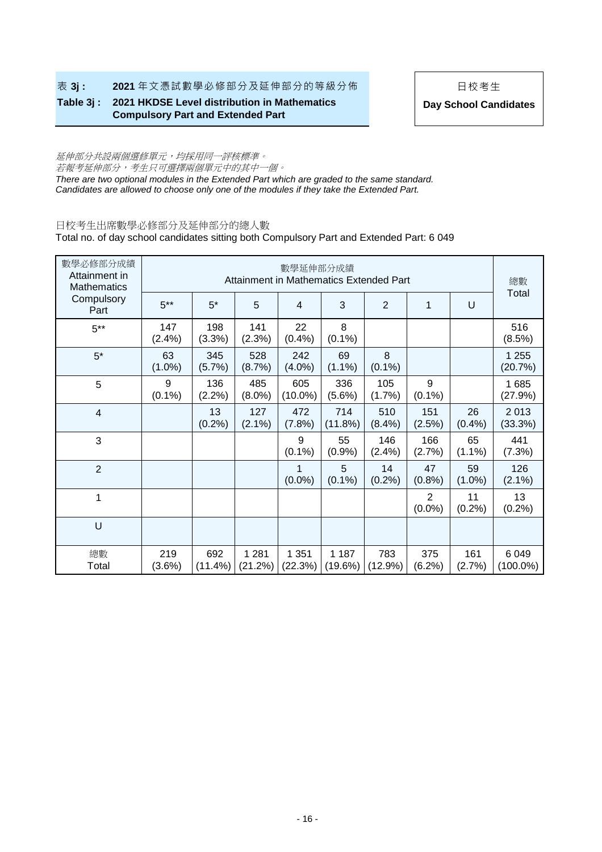**表 3j : 2021** 年文憑試數學必修部分及延伸部分的等級分佈 | 日校考生

**Table 3j : 2021 HKDSE Level distribution in Mathematics Compulsory Part and Extended Part** 

**Day School Candidates**

# 延伸部分共設兩個選修單元,均採用同一評核標準。 若報考延伸部分,考生只可選擇兩個單元中的其中一個。

*There are two optional modules in the Extended Part which are graded to the same standard. Candidates are allowed to choose only one of the modules if they take the Extended Part.*

## 日校考生出席數學必修部分及延伸部分的總人數

Total no. of day school candidates sitting both Compulsory Part and Extended Part: 6 049

| 數學必修部分成績<br>Attainment in<br>Mathematics |                  |                   |                    | 數學延伸部分成績          |                    | Attainment in Mathematics Extended Part |                             |                 | 總數<br>Total            |
|------------------------------------------|------------------|-------------------|--------------------|-------------------|--------------------|-----------------------------------------|-----------------------------|-----------------|------------------------|
| Compulsory<br>Part                       | $5***$           | $5*$              | 5                  | $\overline{4}$    | 3                  | $\overline{2}$                          | 1                           | U               |                        |
| $5***$                                   | 147<br>(2.4%)    | 198<br>(3.3%)     | 141<br>(2.3%)      | 22<br>(0.4% )     | 8<br>$(0.1\%)$     |                                         |                             |                 | 516<br>(8.5%)          |
| $5*$                                     | 63<br>$(1.0\%)$  | 345<br>(5.7%)     | 528<br>(8.7%)      | 242<br>$(4.0\%)$  | 69<br>$(1.1\%)$    | 8<br>$(0.1\%)$                          |                             |                 | 1 2 5 5<br>(20.7%)     |
| 5                                        | 9<br>$(0.1\%)$   | 136<br>$(2.2\%)$  | 485<br>$(8.0\%)$   | 605<br>$(10.0\%)$ | 336<br>$(5.6\%)$   | 105<br>(1.7%)                           | 9<br>$(0.1\%)$              |                 | 1685<br>(27.9%)        |
| 4                                        |                  | 13<br>(0.2%)      | 127<br>$(2.1\%)$   | 472<br>(7.8%)     | 714<br>(11.8%)     | 510<br>(8.4%)                           | 151<br>(2.5%)               | 26<br>(0.4% )   | 2013<br>(33.3%)        |
| 3                                        |                  |                   |                    | 9<br>$(0.1\%)$    | 55<br>(0.9%        | 146<br>(2.4%)                           | 166<br>(2.7%)               | 65<br>$(1.1\%)$ | 441<br>(7.3%)          |
| $\overline{2}$                           |                  |                   |                    | 1<br>$(0.0\%)$    | 5<br>$(0.1\%)$     | 14<br>$(0.2\%)$                         | 47<br>$(0.8\%)$             | 59<br>$(1.0\%)$ | 126<br>$(2.1\%)$       |
| 1                                        |                  |                   |                    |                   |                    |                                         | $\overline{2}$<br>$(0.0\%)$ | 11<br>(0.2%)    | 13<br>(0.2%)           |
| U                                        |                  |                   |                    |                   |                    |                                         |                             |                 |                        |
| 總數<br>Total                              | 219<br>$(3.6\%)$ | 692<br>$(11.4\%)$ | 1 2 8 1<br>(21.2%) | 1 351<br>(22.3%)  | 1 1 8 7<br>(19.6%) | 783<br>$(12.9\%)$                       | 375<br>$(6.2\%)$            | 161<br>(2.7%)   | 6 0 4 9<br>$(100.0\%)$ |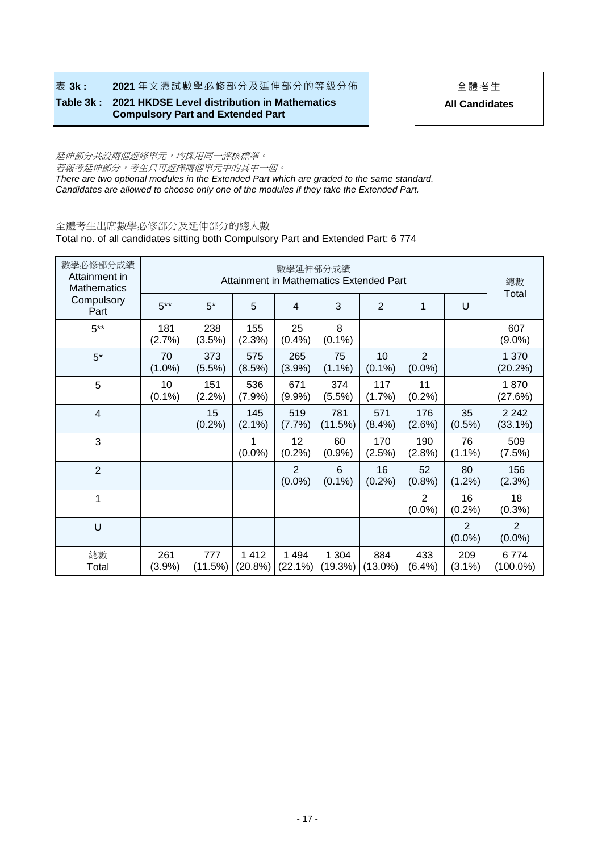**表 3k : 2021** 年文憑試數學必修部分及延伸部分的等級分佈 → → 全體考生

**Table 3k : 2021 HKDSE Level distribution in Mathematics Compulsory Part and Extended Part** 

**All Candidates**

## 延伸部分共設兩個選修單元,均採用同一評核標準。 若報考延伸部分,考生只可選擇兩個單元中的其中一個。

*There are two optional modules in the Extended Part which are graded to the same standard. Candidates are allowed to choose only one of the modules if they take the Extended Part.*

## 全體考生出席數學必修部分及延伸部分的總人數

Total no. of all candidates sitting both Compulsory Part and Extended Part: 6 774

| 數學必修部分成績<br>Attainment in<br><b>Mathematics</b> |                  |                   |                    | 數學延伸部分成績                    | Attainment in Mathematics Extended Part |                   |                             |                             | 總數<br>Total                 |  |
|-------------------------------------------------|------------------|-------------------|--------------------|-----------------------------|-----------------------------------------|-------------------|-----------------------------|-----------------------------|-----------------------------|--|
| Compulsory<br>Part                              | $5***$           | $5^*$             | 5                  | 4                           | 3                                       | $\overline{2}$    | 1                           | U                           |                             |  |
| $5***$                                          | 181<br>(2.7%)    | 238<br>(3.5%)     | 155<br>(2.3%)      | 25<br>(0.4% )               | 8<br>$(0.1\%)$                          |                   |                             |                             | 607<br>$(9.0\%)$            |  |
| $5*$                                            | 70<br>$(1.0\%)$  | 373<br>(5.5%)     | 575<br>(8.5%)      | 265<br>(3.9%)               | 75<br>$(1.1\%)$                         | 10<br>$(0.1\%)$   | $\overline{2}$<br>$(0.0\%)$ |                             | 1 370<br>(20.2%)            |  |
| 5                                               | 10<br>$(0.1\%)$  | 151<br>(2.2%)     | 536<br>(7.9%)      | 671<br>(9.9%                | 374<br>$(5.5\%)$                        | 117<br>(1.7%)     | 11<br>(0.2%)                |                             | 1870<br>(27.6%)             |  |
| $\overline{4}$                                  |                  | 15<br>$(0.2\%)$   | 145<br>$(2.1\%)$   | 519<br>$(7.7\%)$            | 781<br>(11.5%)                          | 571<br>$(8.4\%)$  | 176<br>$(2.6\%)$            | 35<br>$(0.5\%)$             | 2 2 4 2<br>$(33.1\%)$       |  |
| 3                                               |                  |                   | $(0.0\%)$          | 12<br>(0.2%)                | 60<br>(0.9%                             | 170<br>(2.5%)     | 190<br>(2.8%)               | 76<br>$(1.1\%)$             | 509<br>(7.5%)               |  |
| $\overline{2}$                                  |                  |                   |                    | $\overline{2}$<br>$(0.0\%)$ | 6<br>$(0.1\%)$                          | 16<br>$(0.2\%)$   | 52<br>(0.8% )               | 80<br>$(1.2\%)$             | 156<br>(2.3%)               |  |
| 1                                               |                  |                   |                    |                             |                                         |                   | 2<br>$(0.0\%)$              | 16<br>(0.2%)                | 18<br>(0.3%)                |  |
| U                                               |                  |                   |                    |                             |                                         |                   |                             | $\overline{2}$<br>$(0.0\%)$ | $\overline{2}$<br>$(0.0\%)$ |  |
| 總數<br>Total                                     | 261<br>$(3.9\%)$ | 777<br>$(11.5\%)$ | 1412<br>$(20.8\%)$ | 1494<br>$(22.1\%)$          | 1 304<br>(19.3%)                        | 884<br>$(13.0\%)$ | 433<br>(6.4%)               | 209<br>$(3.1\%)$            | 6774<br>$(100.0\%)$         |  |